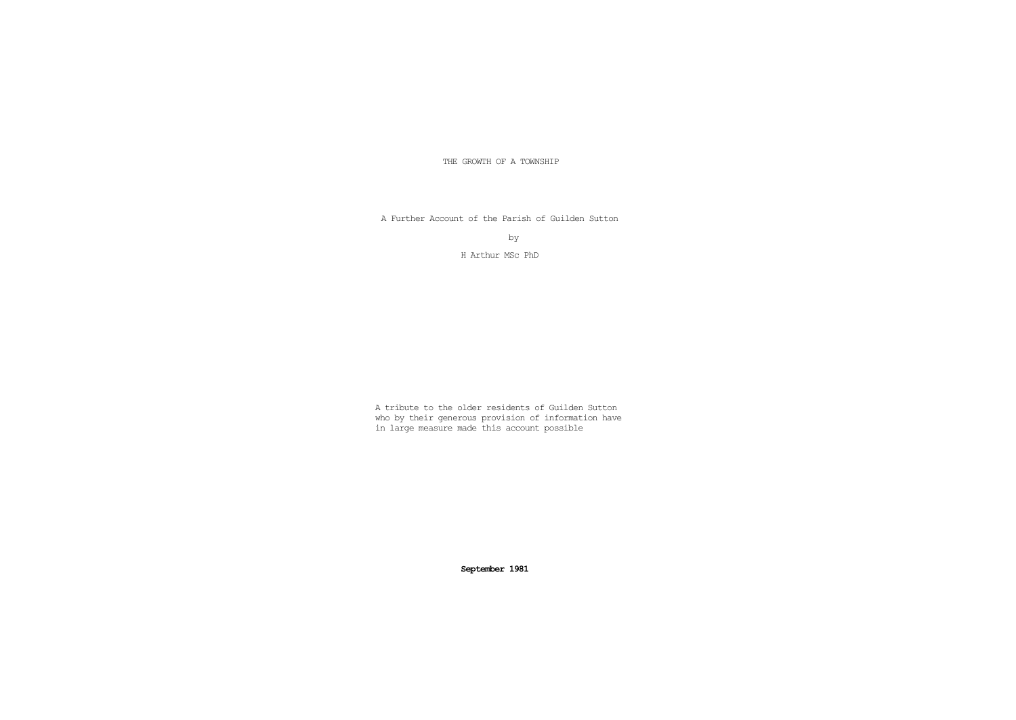THE GROWTH OF A TOWNSHIP

A Further Account of the Parish of Guilden Sutton

by

H Arthur MSc PhD

A tribute to the older residents of Guilden Sutton who by their generous provision of information have in large measure made this account possible

**September 1981**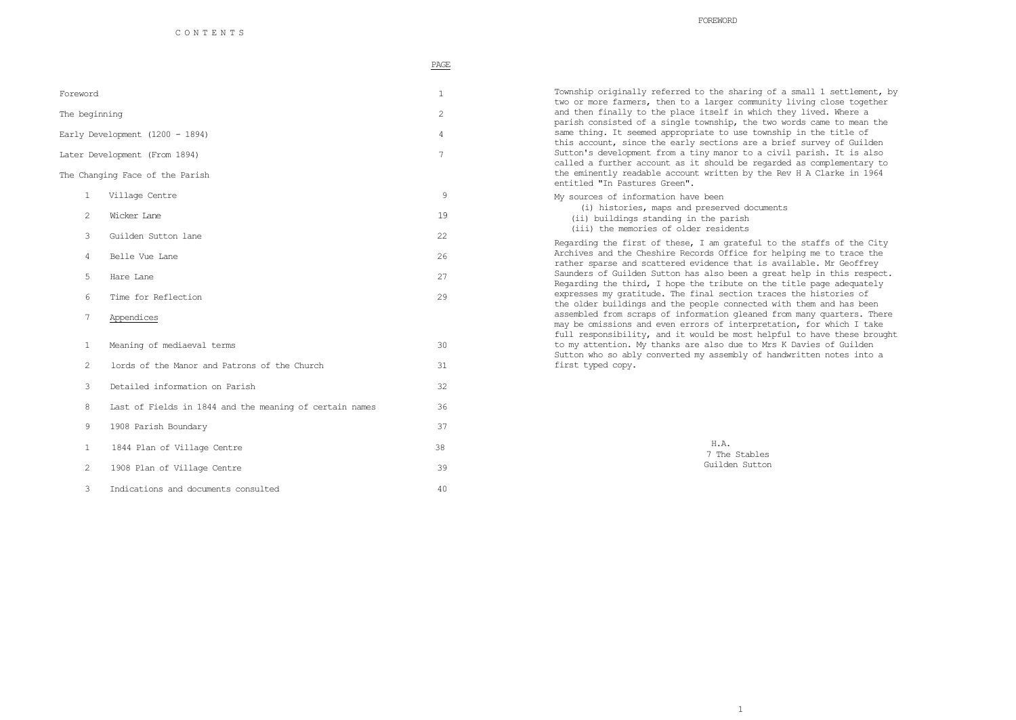PAGE

| Foreword                        |          |
|---------------------------------|----------|
| The beginning                   |          |
| Early Development (1200 - 1894) | $\Delta$ |

Later Development (From 1894) 7

The Changing Face of the Parish

- 1 Village Centre 9 2 Wicker Lane 19 3 Guilden Sutton lane 22 4 Belle Vue Lane 26
- 5 Hare Lane 27
- 6 Time for Reflection 29
- 7 Appendices
- 1 Meaning of mediaeval terms 30 2 lords of the Manor and Patrons of the Church 31 3 Detailed information on Parish 32 8 Last of Fields in 1844 and the meaning of certain names 36 9 1908 Parish Boundary 37 1 1844 Plan of Village Centre 38 2 1908 Plan of Village Centre 39 3 Indications and documents consulted 40

Township originally referred to the sharing of a small 1 settlement, by two or more farmers, then to a larger community living close together and then finally to the place itself in which they lived. Where a parish consisted of a single township, the two words came to mean the same thing. It seemed appropriate to use township in the title of this account, since the early sections are a brief survey of Guilden Sutton's development from a tiny manor to a civil parish. It is also called a further account as it should be regarded as complementary to the eminently readable account written by the Rev H A Clarke in 1964 entitled "In Pastures Green".

My sources of information have been (i) histories, maps and preserved documents (ii) buildings standing in the parish (iii) the memories of older residents

Regarding the first of these, I am grateful to the staffs of the City Archives and the Cheshire Records Office for helping me to trace the rather sparse and scattered evidence that is available. Mr Geoffrey Saunders of Guilden Sutton has also been a great help in this respect. Regarding the third, I hope the tribute on the title page adequately expresses my gratitude. The final section traces the histories of the older buildings and the people connected with them and has been assembled from scraps of information gleaned from many quarters. There may be omissions and even errors of interpretation, for which I take full responsibility, and it would be most helpful to have these brought to my attention. My thanks are also due to Mrs K Davies of Guilden Sutton who so ably converted my assembly of handwritten notes into a first typed copy.

> H.A. 7 The Stables Guilden Sutton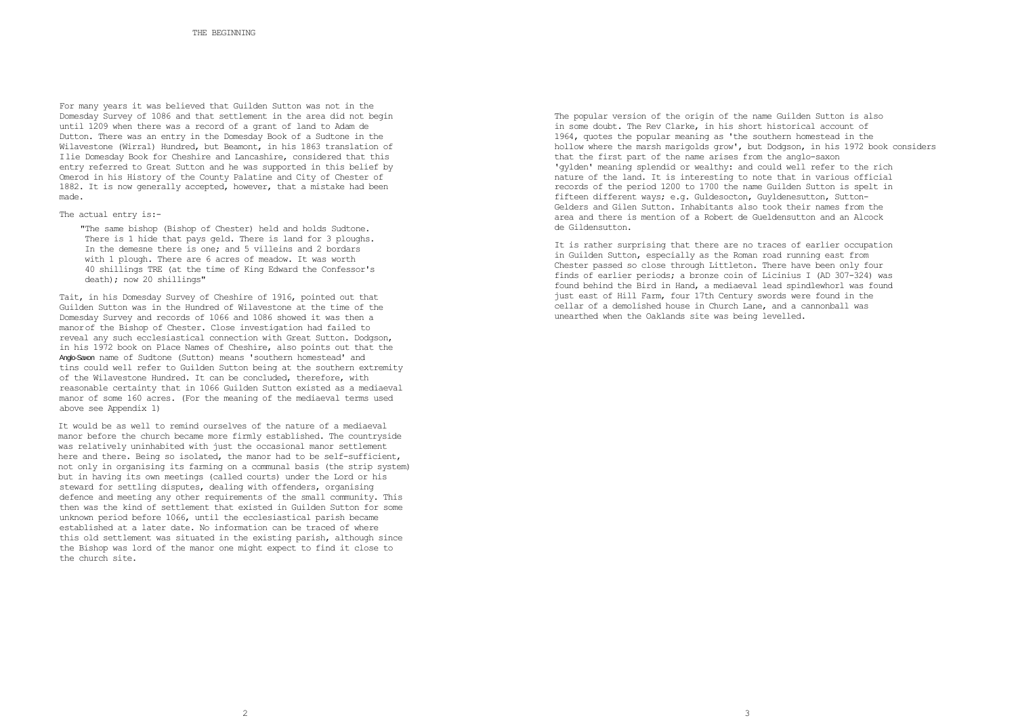For many years it was believed that Guilden Sutton was not in the Domesday Survey of 1086 and that settlement in the area did not begin until 1209 when there was a record of a grant of land to Adam de Dutton. There was an entry in the Domesday Book of a Sudtone in the Wilavestone (Wirral) Hundred, but Beamont, in his 1863 translation of Ilie Domesday Book for Cheshire and Lancashire, considered that this entry referred to Great Sutton and he was supported in this belief by Omerod in his History of the County Palatine and City of Chester of 1882. It is now generally accepted, however, that a mistake had been made.

The actual entry is:-

"The same bishop (Bishop of Chester) held and holds Sudtone. There is 1 hide that pays geld. There is land for 3 ploughs. In the demesne there is one; and 5 villeins and 2 bordars with 1 plough. There are 6 acres of meadow. It was worth 40 shillings TRE (at the time of King Edward the Confessor's death); now 20 shillings"

Tait, in his Domesday Survey of Cheshire of 1916, pointed out that Guilden Sutton was in the Hundred of Wilavestone at the time of the Domesday Survey and records of 1066 and 1086 showed it was then a manorof the Bishop of Chester. Close investigation had failed to reveal any such ecclesiastical connection with Great Sutton. Dodgson, in his 1972 book on Place Names of Cheshire, also points out that the Anglo-Saxon name of Sudtone (Sutton) means 'southern homestead' and tins could well refer to Guilden Sutton being at the southern extremity of the Wilavestone Hundred. It can be concluded, therefore, with reasonable certainty that in 1066 Guilden Sutton existed as a mediaeval manor of some 160 acres. (For the meaning of the mediaeval terms used above see Appendix 1)

It would be as well to remind ourselves of the nature of a mediaeval manor before the church became more firmly established. The countryside was relatively uninhabited with just the occasional manor settlement here and there. Being so isolated, the manor had to be self-sufficient, not only in organising its farming on a communal basis (the strip system) but in having its own meetings (called courts) under the Lord or his steward for settling disputes, dealing with offenders, organising defence and meeting any other requirements of the small community. This then was the kind of settlement that existed in Guilden Sutton for some unknown period before 1066, until the ecclesiastical parish became established at a later date. No information can be traced of where this old settlement was situated in the existing parish, although since the Bishop was lord of the manor one might expect to find it close to the church site.

The popular version of the origin of the name Guilden Sutton is also in some doubt. The Rev Clarke, in his short historical account of 1964, quotes the popular meaning as 'the southern homestead in the hollow where the marsh marigolds grow', but Dodgson, in his 1972 book considers that the first part of the name arises from the anglo-saxon 'gylden' meaning splendid or wealthy: and could well refer to the rich nature of the land. It is interesting to note that in various official records of the period 1200 to 1700 the name Guilden Sutton is spelt in fifteen different ways; e.g. Guldesocton, Guyldenesutton, Sutton-Gelders and Gilen Sutton. Inhabitants also took their names from the area and there is mention of a Robert de Gueldensutton and an Alcock de Gildensutton.

It is rather surprising that there are no traces of earlier occupation in Guilden Sutton, especially as the Roman road running east from Chester passed so close through Littleton. There have been only four finds of earlier periods; a bronze coin of Licinius I (AD 307-324) was found behind the Bird in Hand, a mediaeval lead spindlewhorl was found just east of Hill Farm, four 17th Century swords were found in the cellar of a demolished house in Church Lane, and a cannonball was unearthed when the Oaklands site was being levelled.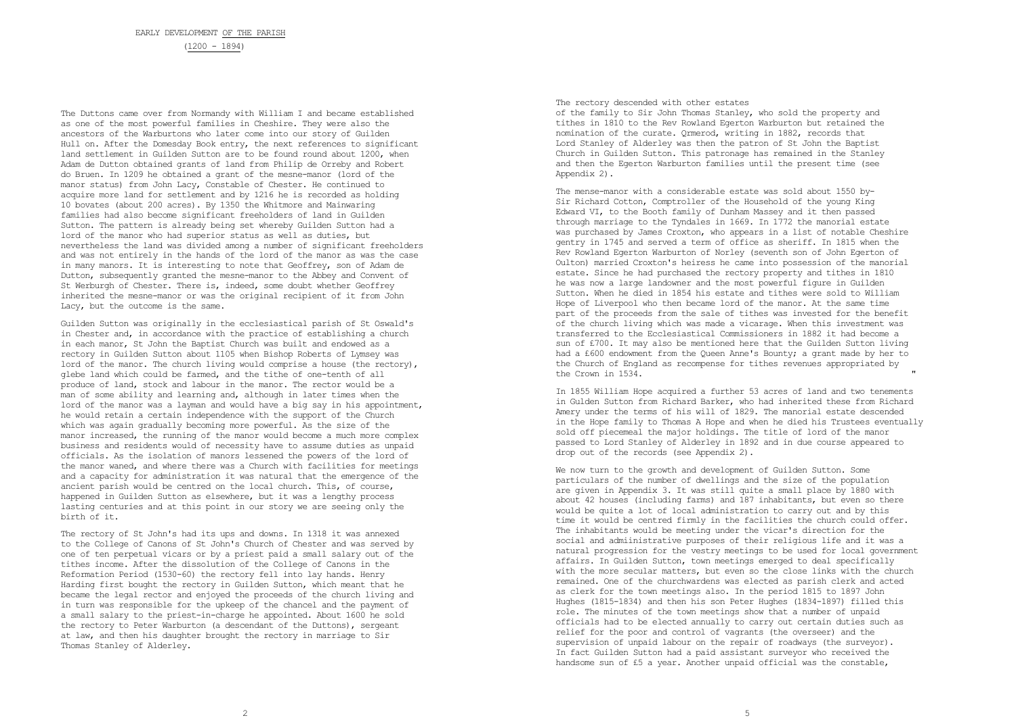The Duttons came over from Normandy with William I and became established as one of the most powerful families in Cheshire. They were also the ancestors of the Warburtons who later come into our story of Guilden Hull on. After the Domesday Book entry, the next references to significant land settlement in Guilden Sutton are to be found round about 1200, when Adam de Dutton obtained grants of land from Philip de Orreby and Robert do Bruen. In 1209 he obtained a grant of the mesne-manor (lord of the manor status) from John Lacy, Constable of Chester. He continued to acquire more land for settlement and by 1216 he is recorded as holding 10 bovates (about 200 acres). By 1350 the Whitmore and Mainwaring families had also become significant freeholders of land in Guilden Sutton. The pattern is already being set whereby Guilden Sutton had a lord of the manor who had superior status as well as duties, but nevertheless the land was divided among a number of significant freeholders and was not entirely in the hands of the lord of the manor as was the case in many manors. It is interesting to note that Geoffrey, son of Adam de Dutton, subsequently granted the mesne-manor to the Abbey and Convent of St Werburgh of Chester. There is, indeed, some doubt whether Geoffrey inherited the mesne-manor or was the original recipient of it from John Lacy, but the outcome is the same.

Guilden Sutton was originally in the ecclesiastical parish of St Oswald's in Chester and, in accordance with the practice of establishing a church in each manor, St John the Baptist Church was built and endowed as a rectory in Guilden Sutton about 1105 when Bishop Roberts of Lymsey was lord of the manor. The church living would comprise a house (the rectory), glebe land which could be farmed, and the tithe of one-tenth of all produce of land, stock and labour in the manor. The rector would be a man of some ability and learning and, although in later times when the lord of the manor was a layman and would have a big say in his appointment, he would retain a certain independence with the support of the Church which was again gradually becoming more powerful. As the size of the manor increased, the running of the manor would become a much more complex business and residents would of necessity have to assume duties as unpaid officials. As the isolation of manors lessened the powers of the lord of the manor waned, and where there was a Church with facilities for meetings and a capacity for administration it was natural that the emergence of the ancient parish would be centred on the local church. This, of course, happened in Guilden Sutton as elsewhere, but it was a lengthy process lasting centuries and at this point in our story we are seeing only the birth of it.

The rectory of St John's had its ups and downs. In 1318 it was annexed to the College of Canons of St John's Church of Chester and was served by one of ten perpetual vicars or by a priest paid a small salary out of the tithes income. After the dissolution of the College of Canons in the Reformation Period (1530-60) the rectory fell into lay hands. Henry Harding first bought the rectory in Guilden Sutton, which meant that he became the legal rector and enjoyed the proceeds of the church living and in turn was responsible for the upkeep of the chancel and the payment of a small salary to the priest-in-charge he appointed. About 1600 he sold the rectory to Peter Warburton (a descendant of the Duttons), sergeant at law, and then his daughter brought the rectory in marriage to Sir Thomas Stanley of Alderley.

## The rectory descended with other estates

of the family to Sir John Thomas Stanley, who sold the property and tithes in 1810 to the Rev Rowland Egerton Warburton but retained the nomination of the curate. Qrmerod, writing in 1882, records that Lord Stanley of Alderley was then the patron of St John the Baptist Church in Guilden Sutton. This patronage has remained in the Stanley and then the Egerton Warburton families until the present time (see Appendix 2).

The mense-manor with a considerable estate was sold about 1550 by-Sir Richard Cotton, Comptroller of the Household of the young King Edward VI, to the Booth family of Dunham Massey and it then passed through marriage to the Tyndales in 1669. In 1772 the manorial estate was purchased by James Croxton, who appears in a list of notable Cheshire gentry in 1745 and served a term of office as sheriff. In 1815 when the Rev Rowland Egerton Warburton of Norley (seventh son of John Egerton of Oulton) married Croxton's heiress he came into possession of the manorial estate. Since he had purchased the rectory property and tithes in 1810 he was now a large landowner and the most powerful figure in Guilden Sutton. When he died in 1854 his estate and tithes were sold to William Hope of Liverpool who then became lord of the manor. At the same time part of the proceeds from the sale of tithes was invested for the benefit of the church living which was made a vicarage. When this investment was transferred to the Ecclesiastical Commissioners in 1882 it had become a sun of £700. It may also be mentioned here that the Guilden Sutton living had a £600 endowment from the Queen Anne's Bounty; a grant made by her to the Church of England as recompense for tithes revenues appropriated by the Crown in 1534.

In 1855 William Hope acquired a further 53 acres of land and two tenements in Gulden Sutton from Richard Barker, who had inherited these from Richard Amery under the terms of his will of 1829. The manorial estate descended in the Hope family to Thomas A Hope and when he died his Trustees eventually sold off piecemeal the major holdings. The title of lord of the manor passed to Lord Stanley of Alderley in 1892 and in due course appeared to drop out of the records (see Appendix 2).

We now turn to the growth and development of Guilden Sutton. Some particulars of the number of dwellings and the size of the population are given in Appendix 3. It was still quite a small place by 1880 with about 42 houses (including farms) and 187 inhabitants, but even so there would be quite a lot of local administration to carry out and by this time it would be centred firmly in the facilities the church could offer. The inhabitants would be meeting under the vicar's direction for the social and admiinistrative purposes of their religious life and it was a natural progression for the vestry meetings to be used for local government affairs. In Guilden Sutton, town meetings emerged to deal specifically with the more secular matters, but even so the close links with the church remained. One of the churchwardens was elected as parish clerk and acted as clerk for the town meetings also. In the period 1815 to 1897 John Hughes (1815-1834) and then his son Peter Hughes (1834-1897) filled this role. The minutes of the town meetings show that a number of unpaid officials had to be elected annually to carry out certain duties such as relief for the poor and control of vagrants (the overseer) and the supervision of unpaid labour on the repair of roadways (the surveyor). In fact Guilden Sutton had a paid assistant surveyor who received the handsome sun of £5 a year. Another unpaid official was the constable,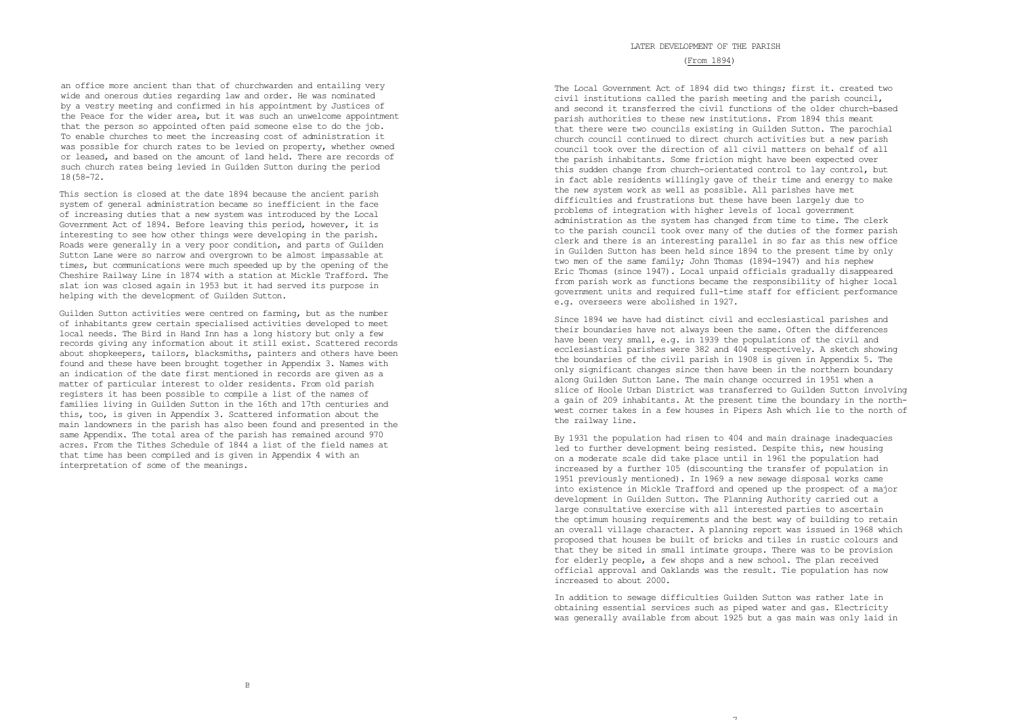LATER DEVELOPMENT OF THE PARISH

# (From 1894)

an office more ancient than that of churchwarden and entailing very wide and onerous duties regarding law and order. He was nominated by a vestry meeting and confirmed in his appointment by Justices of the Peace for the wider area, but it was such an unwelcome appointment that the person so appointed often paid someone else to do the job. To enable churches to meet the increasing cost of administration it was possible for church rates to be levied on property, whether owned or leased, and based on the amount of land held. There are records of such church rates being levied in Guilden Sutton during the period 18(58-72.

This section is closed at the date 1894 because the ancient parish system of general administration became so inefficient in the face of increasing duties that a new system was introduced by the Local Government Act of 1894. Before leaving this period, however, it is interesting to see how other things were developing in the parish. Roads were generally in a very poor condition, and parts of Guilden Sutton Lane were so narrow and overgrown to be almost impassable at times, but communications were much speeded up by the opening of the Cheshire Railway Line in 1874 with a station at Mickle Trafford. The slat ion was closed again in 1953 but it had served its purpose in helping with the development of Guilden Sutton.

Guilden Sutton activities were centred on farming, but as the number of inhabitants grew certain specialised activities developed to meet local needs. The Bird in Hand Inn has a long history but only a few records giving any information about it still exist. Scattered records about shopkeepers, tailors, blacksmiths, painters and others have been found and these have been brought together in Appendix 3. Names with an indication of the date first mentioned in records are given as a matter of particular interest to older residents. From old parish registers it has been possible to compile a list of the names of families living in Guilden Sutton in the 16th and 17th centuries and this, too, is given in Appendix 3. Scattered information about the main landowners in the parish has also been found and presented in the same Appendix. The total area of the parish has remained around 970 acres. From the Tithes Schedule of 1844 a list of the field names at that time has been compiled and is given in Appendix 4 with an interpretation of some of the meanings.

The Local Government Act of 1894 did two things; first it. created two civil institutions called the parish meeting and the parish council, and second it transferred the civil functions of the older church-based parish authorities to these new institutions. From 1894 this meant that there were two councils existing in Guilden Sutton. The parochial church council continued to direct church activities but a new parish council took over the direction of all civil matters on behalf of all the parish inhabitants. Some friction might have been expected over this sudden change from church-orientated control to lay control, but in fact able residents willingly gave of their time and energy to make the new system work as well as possible. All parishes have met difficulties and frustrations but these have been largely due to problems of integration with higher levels of local government administration as the system has changed from time to time. The clerk to the parish council took over many of the duties of the former parish clerk and there is an interesting parallel in so far as this new office in Guilden Sutton has been held since 1894 to the present time by only two men of the same family; John Thomas (1894-1947) and his nephew Eric Thomas (since 1947). Local unpaid officials gradually disappeared from parish work as functions became the responsibility of higher local government units and required full-time staff for efficient performance e.g. overseers were abolished in 1927.

Since 1894 we have had distinct civil and ecclesiastical parishes and their boundaries have not always been the same. Often the differences have been very small, e.g. in 1939 the populations of the civil and ecclesiastical parishes were 382 and 404 respectively. A sketch showing the boundaries of the civil parish in 1908 is given in Appendix 5. The only significant changes since then have been in the northern boundary along Guilden Sutton Lane. The main change occurred in 1951 when a slice of Hoole Urban District was transferred to Guilden Sutton involving a gain of 209 inhabitants. At the present time the boundary in the northwest corner takes in a few houses in Pipers Ash which lie to the north of the railway line.

By 1931 the population had risen to 404 and main drainage inadequacies led to further development being resisted. Despite this, new housing on a moderate scale did take place until in 1961 the population had increased by a further 105 (discounting the transfer of population in 1951 previously mentioned). In 1969 a new sewage disposal works came into existence in Mickle Trafford and opened up the prospect of a major development in Guilden Sutton. The Planning Authority carried out a large consultative exercise with all interested parties to ascertain the optimum housing requirements and the best way of building to retain an overall village character. A planning report was issued in 1968 which proposed that houses be built of bricks and tiles in rustic colours and that they be sited in small intimate groups. There was to be provision for elderly people, a few shops and a new school. The plan received official approval and Oaklands was the result. Tie population has now increased to about 2000.

In addition to sewage difficulties Guilden Sutton was rather late in obtaining essential services such as piped water and gas. Electricity was generally available from about 1925 but a gas main was only laid in

 $\overline{ }$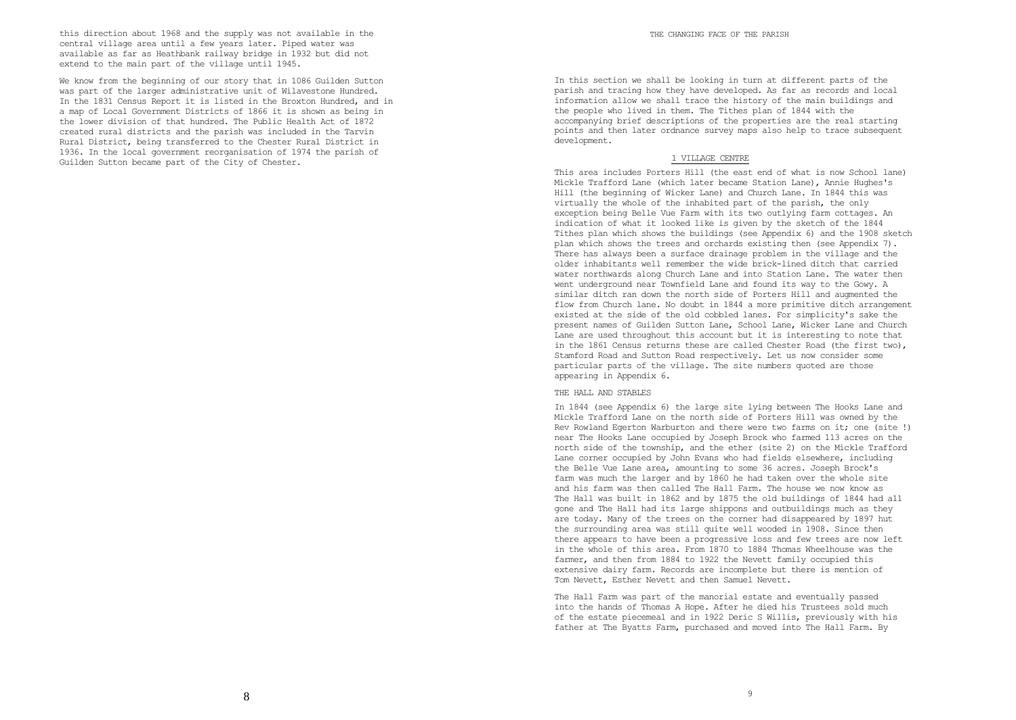this direction about 1968 and the supply was not available in the central village area until a few years later. Piped water was available as far as Heathbank railway bridge in 1932 but did not extend to the main part of the village until 1945.

We know from the beginning of our story that in 1086 Guilden Sutton was part of the larger administrative unit of Wilavestone Hundred. In the 1831 Census Report it is listed in the Broxton Hundred, and in a map of Local Government Districts of 1866 it is shown as being in the lower division of that hundred. The Public Health Act of 1872 created rural districts and the parish was included in the Tarvin Rural District, being transferred to the Chester Rural District in 1936. In the local government reorganisation of 1974 the parish of Guilden Sutton became part of the City of Chester.

In this section we shall be looking in turn at different parts of the parish and tracing how they have developed. As far as records and local information allow we shall trace the history of the main buildings and the people who lived in them. The Tithes plan of 1844 with the accompanying brief descriptions of the properties are the real starting points and then later ordnance survey maps also help to trace subsequent development.

## 1 VILLAGE CENTRE

This area includes Porters Hill (the east end of what is now School lane) Mickle Trafford Lane (which later became Station Lane), Annie Hughes's Hill (the beginning of Wicker Lane) and Church Lane. In 1844 this was virtually the whole of the inhabited part of the parish, the only exception being Belle Vue Farm with its two outlying farm cottages. An indication of what it looked like is given by the sketch of the 1844 Tithes plan which shows the buildings (see Appendix 6) and the 1908 sketch plan which shows the trees and orchards existing then (see Appendix 7). There has always been a surface drainage problem in the village and the older inhabitants well remember the wide brick-lined ditch that carried water northwards along Church Lane and into Station Lane. The water then went underground near Townfield Lane and found its way to the Gowy. A similar ditch ran down the north side of Porters Hill and augmented the flow from Church lane. No doubt in 1844 a more primitive ditch arrangement existed at the side of the old cobbled lanes. For simplicity's sake the present names of Guilden Sutton Lane, School Lane, Wicker Lane and Church Lane are used throughout this account but it is interesting to note that in the 1861 Census returns these are called Chester Road (the first two), Stamford Road and Sutton Road respectively. Let us now consider some particular parts of the village. The site numbers quoted are those appearing in Appendix 6.

#### THE HALL AND STABLES

In 1844 (see Appendix 6) the large site lying between The Hooks Lane and Mickle Trafford Lane on the north side of Porters Hill was owned by the Rev Rowland Egerton Warburton and there were two farms on it; one (site !) near The Hooks Lane occupied by Joseph Brock who farmed 113 acres on the north side of the township, and the ether (site 2) on the Mickle Trafford Lane corner occupied by John Evans who had fields elsewhere, including the Belle Vue Lane area, amounting to some 36 acres. Joseph Brock's farm was much the larger and by 1860 he had taken over the whole site and his farm was then called The Hall Farm. The house we now know as The Hall was built in 1862 and by 1875 the old buildings of 1844 had a11 gone and The Hall had its large shippons and outbuildings much as they are today. Many of the trees on the corner had disappeared by 1897 hut the surrounding area was still quite well wooded in 1908. Since then there appears to have been a progressive loss and few trees are now left in the whole of this area. From 1870 to 1884 Thomas Wheelhouse was the farmer, and then from 1884 to 1922 the Nevett family occupied this extensive dairy farm. Records are incomplete but there is mention of Tom Nevett, Esther Nevett and then Samuel Nevett.

The Hall Farm was part of the manorial estate and eventually passed into the hands of Thomas A Hope. After he died his Trustees sold much of the estate piecemeal and in 1922 Deric S Willis, previously with his father at The Byatts Farm, purchased and moved into The Hall Farm. By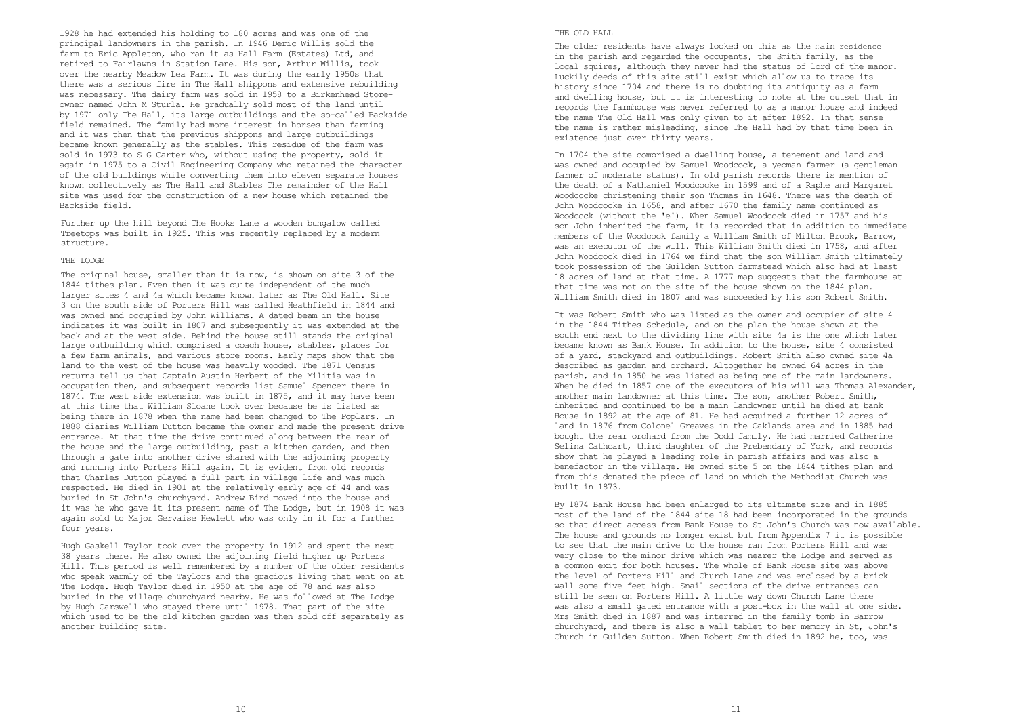1928 he had extended his holding to 180 acres and was one of the principal landowners in the parish. In 1946 Deric Willis sold the farm to Eric Appleton, who ran it as Hall Farm (Estates) Ltd, and retired to Fairlawns in Station Lane. His son, Arthur Willis, took over the nearby Meadow Lea Farm. It was during the early 1950s that there was a serious fire in The Hall shippons and extensive rebuilding was necessary. The dairy farm was sold in 1958 to a Birkenhead Storeowner named John M Sturla. He gradually sold most of the land until by 1971 only The Hall, its large outbuildings and the so-called Backside field remained. The family had more interest in horses than farming and it was then that the previous shippons and large outbuildings became known generally as the stables. This residue of the farm was sold in 1973 to S G Carter who, without using the property, sold it again in 1975 to a Civil Engineering Company who retained the character of the old buildings while converting them into eleven separate houses known collectively as The Hall and Stables The remainder of the Hall site was used for the construction of a new house which retained the Backside field.

Further up the hill beyond The Hooks Lane a wooden bungalow called Treetops was built in 1925. This was recently replaced by a modern structure.

#### THE LODGE

The original house, smaller than it is now, is shown on site 3 of the 1844 tithes plan. Even then it was quite independent of the much larger sites 4 and 4a which became known later as The Old Hall. Site 3 on the south side of Porters Hill was called Heathfield in 1844 and was owned and occupied by John Williams. A dated beam in the house indicates it was built in 1807 and subsequently it was extended at the back and at the west side. Behind the house still stands the original large outbuilding which comprised a coach house, stables, places for a few farm animals, and various store rooms. Early maps show that the land to the west of the house was heavily wooded. The 1871 Census returns tell us that Captain Austin Herbert of the Militia was in occupation then, and subsequent records list Samuel Spencer there in 1874. The west side extension was built in 1875, and it may have been at this time that William Sloane took over because he is listed as being there in 1878 when the name had been changed to The Poplars. In 1888 diaries William Dutton became the owner and made the present drive entrance. At that time the drive continued along between the rear of the house and the large outbuilding, past a kitchen garden, and then through a gate into another drive shared with the adjoining property and running into Porters Hill again. It is evident from old records that Charles Dutton played a full part in village life and was much respected. He died in 1901 at the relatively early age of 44 and was buried in St John's churchyard. Andrew Bird moved into the house and it was he who gave it its present name of The Lodge, but in 1908 it was again sold to Major Gervaise Hewlett who was only in it for a further four years.

Hugh Gaskell Taylor took over the property in 1912 and spent the next 38 years there. He also owned the adjoining field higher up Porters Hill. This period is well remembered by a number of the older residents who speak warmly of the Taylors and the gracious living that went on at The Lodge. Hugh Taylor died in 1950 at the age of 78 and *was* also buried in the village churchyard nearby. He was followed at The Lodge by Hugh Carswell who stayed there until 1978. That part of the site which used to be the old kitchen garden was then sold off separately as another building site.

# THE OLD HALL

The older residents have always looked on this as the main residence in the parish and regarded the occupants, the Smith family, as the local squires, although they never had the status of lord of the manor. Luckily deeds of this site still exist which allow us to trace its history since 1704 and there is no doubting its antiquity as a farm and dwelling house, but it is interesting to note at the outset that in records the farmhouse was never referred to as a manor house and indeed the name The Old Hall was only given to it after 1892. In that sense the name is rather misleading, since The Hall had by that time been in existence just over thirty years.

In 1704 the site comprised a dwelling house, a tenement and land and was owned and occupied by Samuel Woodcock, a yeoman farmer (a gentleman farmer of moderate status). In old parish records there is mention of the death of a Nathaniel Woodcocke in 1599 and of a Raphe and Margaret Woodcocke christening their son Thomas in 1648. There was the death of John Woodcocke in 1658, and after 1670 the family name continued as Woodcock (without the 'e'). When Samuel Woodcock died in 1757 and his son John inherited the farm, it is recorded that in addition to immediate members of the Woodcock family a William Smith of Milton Brook, Barrow, was an executor of the will. This William 3nith died in 1758, and after John Woodcock died in 1764 we find that the son William Smith ultimately took possession of the Guilden Sutton farmstead which also had at least 18 acres of land at that time. A 1777 map suggests that the farmhouse at that time was not on the site of the house shown on the 1844 plan. William Smith died in 1807 and was succeeded by his son Robert Smith.

It was Robert Smith who was listed as the owner and occupier of site 4 in the 1844 Tithes Schedule, and on the plan the house shown at the south end next to the dividing line with site 4a is the one which later became known as Bank House. In addition to the house, site 4 consisted of a yard, stackyard and outbuildings. Robert Smith also owned site 4a described as garden and orchard. Altogether he owned 64 acres in the parish, and in 1850 he was listed as being one of the main landowners. When he died in 1857 one of the executors of his will was Thomas Alexander, another main landowner at this time. The son, another Robert Smith, inherited and continued to be a main landowner until he died at bank House in 1892 at the age of 81. He had acquired a further 12 acres of land in 1876 from Colonel Greaves in the Oaklands area and in 1885 had bought the rear orchard from the Dodd family. He had married Catherine Selina Cathcart, third daughter of the Prebendary of York, and records show that he played a leading role in parish affairs and was also a benefactor in the village. He owned site 5 on the 1844 tithes plan and from this donated the piece of land on which the Methodist Church was built in 1873.

By 1874 Bank House had been enlarged to its ultimate size and in 1885 most of the land of the 1844 site 18 had been incorporated in the grounds so that direct access from Bank House to St John's Church was now available. The house and grounds no longer exist but from Appendix 7 it is possible to see that the main drive to the house ran from Porters Hill and was very close to the minor drive which was nearer the Lodge and served as a common exit for both houses. The whole of Bank House site was above the level of Porters Hill and Church Lane and was enclosed by a brick wall some five feet high. Snail sections of the drive entrances can still be seen on Porters Hill. A little way down Church Lane there was also a small gated entrance with a post-box in the wall at one side. Mrs Smith died in 1887 and was interred in the family tomb in Barrow churchyard, and there is also a wall tablet to her memory in St, John's Church in Guilden Sutton. When Robert Smith died in 1892 he, too, was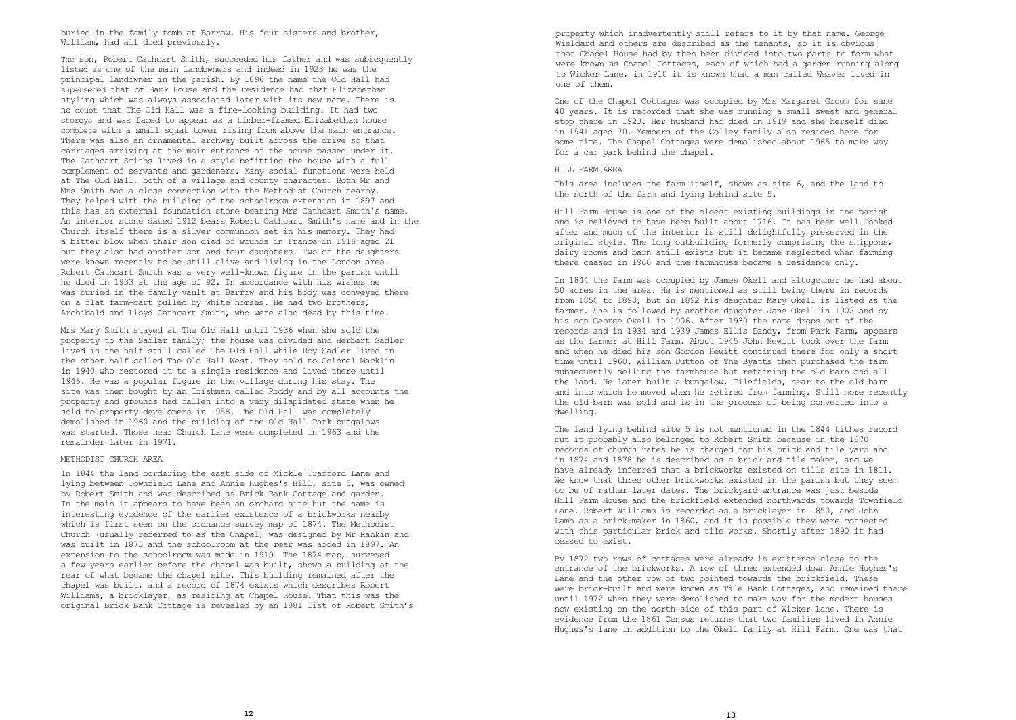buried in the family tomb at Barrow. His four sisters and brother, William, had all died previously.

The son, Robert Cathcart Smith, succeeded his father and was subsequently listed as one of the main landowners and indeed in 1923 he was the principal landowner in the parish. By 1896 the name the Old Hall had superseded that of Bank House and the residence had that Elizabethan styling which was always associated later with its new name. There is no doubt that The Old Hall was a fine-looking building. It had two storeys and was faced to appear as a timber-framed Elizabethan house complete with a small squat tower rising from above the main entrance. There was also an ornamental archway built across the drive so that carriages arriving at the main entrance of the house passed under it. The Cathcart Smiths lived in a style befitting the house with a full complement of servants and gardeners. Many social functions were held at The Old Hall, both of a village and county character. Both Mr and Mrs Smith had a close connection with the Methodist Church nearby. They helped with the building of the schoolroom extension in 1897 and this has an external foundation stone bearing Mrs Cathcart Smith's name. An interior stone dated 1912 bears Robert Cathcart Smith's name and in the Church itself there is a silver communion set in his memory. They had a bitter blow when their son died of wounds in France in 1916 aged 21 but they also had another son and four daughters. Two of the daughters were known recently to be still alive and living in the London area. Robert Cathcart Smith was a very well-known figure in the parish until he died in 1933 at the age of 92. In accordance with his wishes he was buried in the family vault at Barrow and his body was conveyed there on a flat farm-cart pulled by white horses. He had two brothers, Archibald and Lloyd Cathcart Smith, who were also dead by this time.

Mrs Mary Smith stayed at The Old Hall until 1936 when she sold the property to the Sadler family; the house was divided and Herbert Sadler lived in the half still called The Old Hall while Roy Sadler lived in the other half called The Old Hall West. They sold to Colonel Macklin in 1940 who restored it to a single residence and lived there until 1946. He was a popular figure in the village during his stay. The site was then bought by an Irishman called Roddy and by all accounts the property and grounds had fallen into a very dilapidated state when he sold to property developers in 1958. The Old Hall was completely demolished in 1960 and the building of the Old Hall Park bungalows was started. Those near Church Lane were completed in 1963 and the remainder later in 1971.

## METHODIST CHURCH AREA

In 1844 the land bordering the east side of Mickle Trafford Lane and lying between Townfield Lane and Annie Hughes's Hill, site 5, was owned by Robert Smith and was described as Brick Bank Cottage and garden. In the main it appears to have been an orchard site hut the name is interesting evidence of the earlier existence of a brickworks nearby which is first seen on the ordnance survey map of 1874. The Methodist Church (usually referred to as the Chapel) was designed by Mr Rankin and was built in 1873 and the schoolroom at the rear was added in 1897. An extension to the schoolroom was made in 1910. The 1874 map, surveyed a few years earlier before the chapel was built, shows a building at the rear of what became the chapel site. This building remained after the chapel was built, and a record of 1874 exists which describes Robert Williams, a bricklayer, as residing at Chapel House. That this was the original Brick Bank Cottage is revealed by an 1881 list of Robert Smith's property which inadvertently still refers to it by that name. George Wieldard and others are described as the tenants, so it is obvious that Chapel House had by then been divided into two parts to form what were known as Chapel Cottages, each of which had a garden running along to Wicker Lane, in 1910 it is known that a man called Weaver lived in one of them.

One of the Chapel Cottages was occupied by Mrs Margaret Groom for sane 40 years. It is recorded that she was running a small sweet and general stop there in 1923. Her husband had died in 1919 and she herself died in 1941 aged 70. Members of the Colley family also resided here for some time. The Chapel Cottages were demolished about 1965 to make way for a car park behind the chapel.

# HILL FARM AREA

This area includes the farm itself, shown as site 6, and the land to the north of the farm and lying behind site 5.

Hill Farm House is one of the oldest existing buildings in the parish and is believed to have been built about 1716. It has been well looked after and much of the interior is still delightfully preserved in the original style. The long outbuilding formerly comprising the shippons, dairy rooms and barn still exists but it became neglected when farming there ceased in 1960 and the farmhouse became a residence only.

In 1844 the farm was occupied by James Okell and altogether he had about 50 acres in the area. He is mentioned as still being there in records from 1850 to 1890, but in 1892 his daughter Mary Okell is listed as the farmer. She is followed by another daughter Jane Okell in 1902 and by his son George Okell in 1906. After 1930 the name drops out of the records and in 1934 and 1939 James Ellis Dandy, from Park Farm, appears as the farmer at Hill Farm. About 1945 John Hewitt took over the farm and when he died his son Gordon Hewitt continued there for only a short time until 1960. William Dutton of The Byatts then purchased the farm subsequently selling the farmhouse but retaining the old barn and all the land. He later built a bungalow, Tilefields, near to the old barn and into which he moved when he retired from farming. Still more recently the old barn was sold and is in the process of being converted into a dwelling.

The land lying behind site 5 is not mentioned in the 1844 tithes record but it probably also belonged to Robert Smith because in the 1870 records of church rates he is charged for his brick and tile yard and in 1874 and 1878 he is described as a brick and tile maker, and we have already inferred that a brickworks existed on tills site in 1811. We know that three other brickworks existed in the parish but they seem to be of rather later dates. The brickyard entrance was just beside Hill Farm House and the brickfield extended northwards towards Townfield Lane. Robert Williams is recorded as a bricklayer in 1850, and John Lamb as a brick-maker in 1860, and it is possible they were connected with this particular brick and tile works. Shortly after 1890 it had ceased to exist.

By 1872 two rows of cottages were already in existence close to the entrance of the brickworks. A row of three extended down Annie Hughes's Lane and the other row of two pointed towards the brickfield. These were brick-built and were known as Tile Bank Cottages, and remained there until 1972 when they were demolished to make way for the modern houses now existing on the north side of this part of Wicker Lane. There is evidence from the 1861 Census returns that two families lived in Annie Hughes's lane in addition to the Okell family at Hill Farm. One was that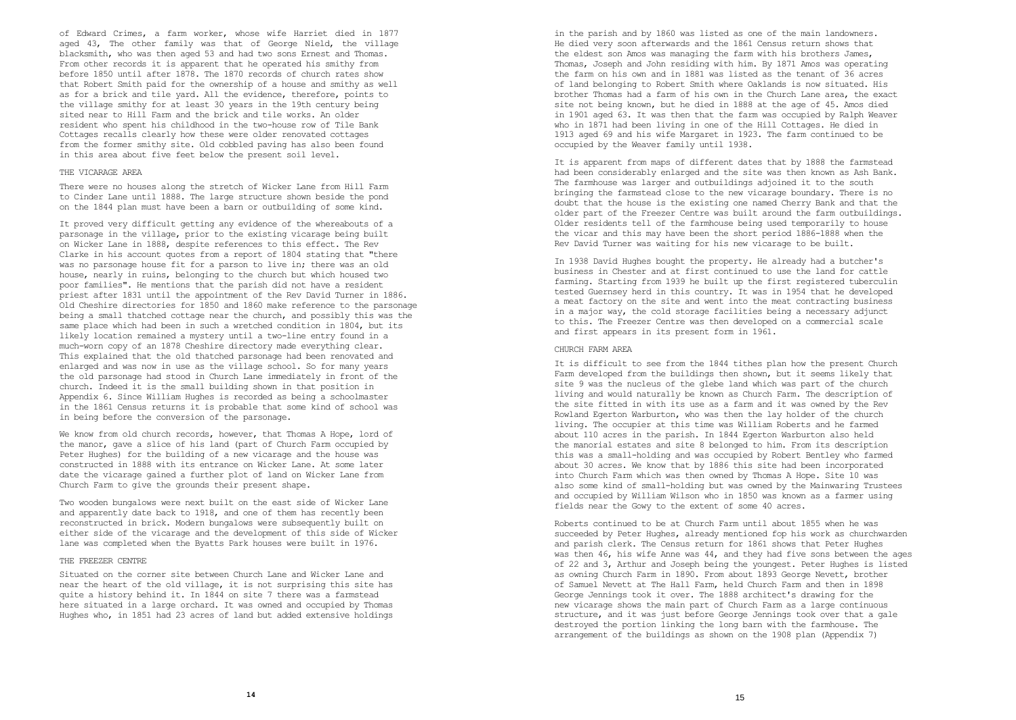of Edward Crimes, a farm worker, whose wife Harriet died in 1877 aged 43, The other family was that of George Nield, the village blacksmith, who was then aged 53 and had two sons Ernest and Thomas. From other records it is apparent that he operated his smithy from before 1850 until after 1878. The 1870 records of church rates show that Robert Smith paid for the ownership of a house and smithy as well as for a brick and tile yard. All the evidence, therefore, points to the village smithy for at least 30 years in the 19th century being sited near to Hill Farm and the brick and tile works. An older resident who spent his childhood in the two-house row of Tile Bank Cottages recalls clearly how these were older renovated cottages from the former smithy site. Old cobbled paving has also been found in this area about five feet below the present soil level.

## THE VICARAGE AREA

There were no houses along the stretch of Wicker Lane from Hill Farm to Cinder Lane until 1888. The large structure shown beside the pond on the 1844 plan must have been a barn or outbuilding of some kind.

It proved very difficult getting any evidence of the whereabouts of a parsonage in the village, prior to the existing vicarage being built on Wicker Lane in 1888, despite references to this effect. The Rev Clarke in his account quotes from a report of 1804 stating that "there was no parsonage house fit for a parson to live in; there was an old house, nearly in ruins, belonging to the church but which housed two poor families". He mentions that the parish did not have a resident priest after 1831 until the appointment of the Rev David Turner in 1886. Old Cheshire directories for 1850 and 1860 make reference to the parsonage being a small thatched cottage near the church, and possibly this was the same place which had been in such a wretched condition in 1804, but its likely location remained a mystery until a two-line entry found in a much-worn copy of an 1878 Cheshire directory made everything clear. This explained that the old thatched parsonage had been renovated and enlarged and was now in use as the village school. So for many vears the old parsonage had stood in Church Lane immediately in front of the church. Indeed it is the small building shown in that position in Appendix 6. Since William Hughes is recorded as being a schoolmaster in the 1861 Census returns it is probable that some kind of school was in being before the conversion of the parsonage.

We know from old church records, however, that Thomas A Hope, lord of the manor, gave a slice of his land (part of Church Farm occupied by Peter Hughes) for the building of a new vicarage and the house was constructed in 1888 with its entrance on Wicker Lane. At some later date the vicarage gained a further plot of land on Wicker Lane from Church Farm to give the grounds their present shape.

Two wooden bungalows were next built on the east side of Wicker Lane and apparently date back to 1918, and one of them has recently been reconstructed in brick. Modern bungalows were subsequently built on either side of the vicarage and the development of this side of Wicker lane was completed when the Byatts Park houses were built in 1976.

#### THE FREEZER CENTRE

Situated on the corner site between Church Lane and Wicker Lane and near the heart of the old village, it is not surprising this site has quite a history behind it. In 1844 on site 7 there was a farmstead here situated in a large orchard. It was owned and occupied by Thomas Hughes who, in 1851 had 23 acres of land but added extensive holdings

in the parish and by 1860 was listed as one of the main landowners. He died very soon afterwards and the 1861 Census return shows that the eldest son Amos was managing the farm with his brothers James, Thomas, Joseph and John residing with him. By 1871 Amos was operating the farm on his own and in 1881 was listed as the tenant of 36 acres of land belonging to Robert Smith where Oaklands is now situated. His brother Thomas had a farm of his own in the Church Lane area, the exact site not being known, but he died in 1888 at the age of 45. Amos died in 1901 aged 63. It was then that the farm was occupied by Ralph Weaver who in 1871 had been living in one of the Hill Cottages. He died in 1913 aged 69 and his wife Margaret in 1923. The farm continued to be occupied by the Weaver family until 1938.

It is apparent from maps of different dates that by 1888 the farmstead had been considerably enlarged and the site was then known as Ash Bank. The farmhouse was larger and outbuildings adjoined it to the south bringing the farmstead close to the new vicarage boundary. There is no doubt that the house is the existing one named Cherry Bank and that the older part of the Freezer Centre was built around the farm outbuildings. Older residents tell of the farmhouse being used temporarily to house the vicar and this may have been the short period 1886-1888 when the Rev David Turner was waiting for his new vicarage to be built.

In 1938 David Hughes bought the property. He already had a butcher's business in Chester and at first continued to use the land for cattle farming. Starting from 1939 he built up the first registered tuberculin tested Guernsey herd in this country. It was in 1954 that he developed a meat factory on the site and went into the meat contracting business in a major way, the cold storage facilities being a necessary adjunct to this. The Freezer Centre was then developed on a commercial scale and first appears in its present form in 1961.

## CHURCH FARM AREA

It is difficult to see from the 1844 tithes plan how the present Church Farm developed from the buildings then shown, but it seems likely that site 9 was the nucleus of the glebe land which was part of the church living and would naturally be known as Church Farm. The description of the site fitted in with its use as a farm and it was owned by the Rev Rowland Egerton Warburton, who was then the lay holder of the church living. The occupier at this time was William Roberts and he farmed about 110 acres in the parish. In 1844 Egerton Warburton also held the manorial estates and site 8 belonged to him. From its description this was a small-holding and was occupied by Robert Bentley who farmed about 30 acres. We know that by 1886 this site had been incorporated into Church Farm which was then owned by Thomas A Hope. Site 10 was also some kind of small-holding but was owned by the Mainwaring Trustees and occupied by William Wilson who in 1850 was known as a farmer using fields near the Gowy to the extent of some 40 acres.

Roberts continued to be at Church Farm until about 1855 when he was succeeded by Peter Hughes, already mentioned fop his work as churchwarden and parish clerk. The Census return for 1861 shows that Peter Hughes was then 46, his wife Anne was 44, and they had five sons between the ages of 22 and 3, Arthur and Joseph being the youngest. Peter Hughes is listed as owning Church Farm in 1890. From about 1893 George Nevett, brother of Samuel Nevett at The Hall Farm, held Church Farm and then in 1898 George Jennings took it over. The 1888 architect's drawing for the new vicarage shows the main part of Church Farm as a large continuous structure, and it was just before George Jennings took over that a gale destroyed the portion linking the long barn with the farmhouse. The arrangement of the buildings as shown on the 1908 plan (Appendix 7)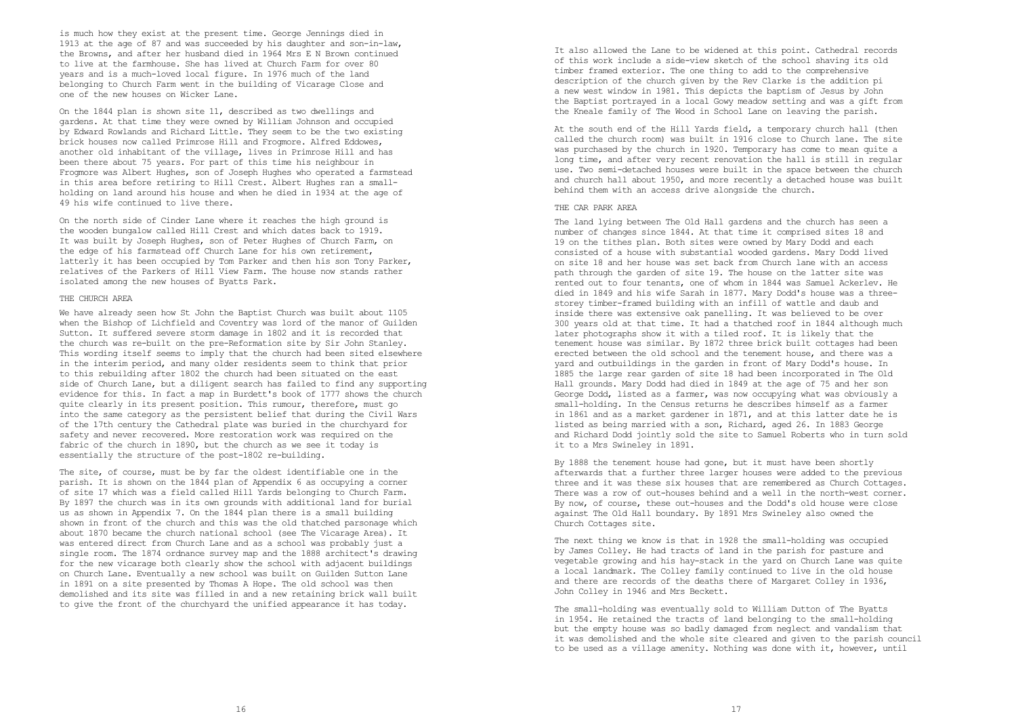is much how they exist at the present time. George Jennings died in 1913 at the age of 87 and was succeeded by his daughter and son-in-law, the Browns, and after her husband died in 1964 Mrs E N Brown continued to live at the farmhouse. She has lived at Church Farm for over 80 years and is a much-loved local figure. In 1976 much of the land belonging to Church Farm went in the building of Vicarage Close and one of the new houses on Wicker Lane.

On the 1844 plan is shown site 11, described as two dwellings and gardens. At that time they were owned by William Johnson and occupied by Edward Rowlands and Richard Little. They seem to be the two existing brick houses now called Primrose Hill and Frogmore. Alfred Eddowes, another old inhabitant of the village, lives in Primrose Hill and has been there about 75 years. For part of this time his neighbour in Frogmore was Albert Hughes, son of Joseph Hughes who operated a farmstead in this area before retiring to Hill Crest. Albert Hughes ran a smallholding on land around his house and when he died in 1934 at the age of 49 his wife continued to live there.

On the north side of Cinder Lane where it reaches the high ground is the wooden bungalow called Hill Crest and which dates back to 1919. It was built by Joseph Hughes, son of Peter Hughes of Church Farm, on the edge of his farmstead off Church Lane for his own retirement, latterly it has been occupied by Tom Parker and then his son Tony Parker, relatives of the Parkers of Hill View Farm. The house now stands rather isolated among the new houses of Byatts Park.

#### THE CHURCH AREA

We have already seen how St John the Baptist Church was built about 1105 when the Bishop of Lichfield and Coventry was lord of the manor of Guilden Sutton. It suffered severe storm damage in 1802 and it is recorded that the church was re-built on the pre-Reformation site by Sir John Stanley. This wording itself seems to imply that the church had been sited elsewhere in the interim period, and many older residents seem to think that prior to this rebuilding after 1802 the church had been situated on the east side of Church Lane, but a diligent search has failed to find any supporting evidence for this. In fact a map in Burdett's book of 1777 shows the church quite clearly in its present position. This rumour, therefore, must go into the same category as the persistent belief that during the Civil Wars of the 17th century the Cathedral plate was buried in the churchyard for safety and never recovered. More restoration work was required on the fabric of the church in 1890, but the church as we see it today is essentially the structure of the post-1802 re-building.

The site, of course, must be by far the oldest identifiable one in the parish. It is shown on the 1844 plan of Appendix 6 as occupying a corner of site 17 which was a field called Hill Yards belonging to Church Farm. By 1897 the church was in its own grounds with additional land for burial us as shown in Appendix 7. On the 1844 plan there is a small building shown in front of the church and this was the old thatched parsonage which about 1870 became the church national school (see The Vicarage Area). It was entered direct from Church Lane and as a school was probably just a single room. The 1874 ordnance survey map and the 1888 architect's drawing for the new vicarage both clearly show the school with adjacent buildings on Church Lane. Eventually a new school was built on Guilden Sutton Lane in 1891 on a site presented by Thomas A Hope. The old school was then demolished and its site was filled in and a new retaining brick wall built to give the front of the churchyard the unified appearance it has today.

It also allowed the Lane to be widened at this point. Cathedral records of this work include a side-view sketch of the school shaving its old timber framed exterior. The one thing to add to the comprehensive description of the church given by the Rev Clarke is the addition pi a new west window in 1981. This depicts the baptism of Jesus by John the Baptist portrayed in a local Gowy meadow setting and was a gift from the Kneale family of The Wood in School Lane on leaving the parish.

At the south end of the Hill Yards field, a temporary church hall (then called the church room) was built in 1916 close to Church lane. The site was purchased by the church in 1920. Temporary has come to mean quite a long time, and after very recent renovation the hall is still in regular use. Two semi-detached houses were built in the space between the church and church hall about 1950, and more recently a detached house was built behind them with an access drive alongside the church.

# THE CAR PARK AREA

The land lying between The Old Hall gardens and the church has seen a number of changes since 1844. At that time it comprised sites 18 and 19 on the tithes plan. Both sites were owned by Mary Dodd and each consisted of a house with substantial wooded gardens. Mary Dodd lived on site 18 and her house was set back from Church lane with an access path through the garden of site 19. The house on the latter site was rented out to four tenants, one of whom in 1844 was Samuel Ackerlev. He died in 1849 and his wife Sarah in 1877. Mary Dodd's house was a threestorey timber-framed building with an infill of wattle and daub and inside there was extensive oak panelling. It was believed to be over 300 years old at that time. It had a thatched roof in 1844 although much later photographs show it with a tiled roof. It is likely that the tenement house was similar. By 1872 three brick built cottages had been erected between the old school and the tenement house, and there was a yard and outbuildings in the garden in front of Mary Dodd's house. In 1885 the large rear garden of site 18 had been incorporated in The Old Hall grounds. Mary Dodd had died in 1849 at the age of 75 and her son George Dodd, listed as a farmer, was now occupying what was obviously a small-holding. In the Census returns he describes himself as a farmer in 1861 and as a market gardener in 1871, and at this latter date he is listed as being married with a son, Richard, aged 26. In 1883 George and Richard Dodd jointly sold the site to Samuel Roberts who in turn sold it to a Mrs Swineley in 1891.

By 1888 the tenement house had gone, but it must have been shortly afterwards that a further three larger houses were added to the previous three and it was these six houses that are remembered as Church Cottages. There was a row of out-houses behind and a well in the north-west corner. By now, of course, these out-houses and the Dodd's old house were close against The Old Hall boundary. By 1891 Mrs Swineley also owned the Church Cottages site.

The next thing we know is that in 1928 the small-holding was occupied by James Colley. He had tracts of land in the parish for pasture and vegetable growing and his hay-stack in the yard on Church Lane was quite a local landmark. The Colley family continued to live in the old house and there are records of the deaths there of Margaret Colley in 1936, John Colley in 1946 and Mrs Beckett.

The small-holding was eventually sold to William Dutton of The Byatts in 1954. He retained the tracts of land belonging to the small-holding but the empty house was so badly damaged from neglect and vandalism that it was demolished and the whole site cleared and given to the parish council to be used as a village amenity. Nothing was done with it, however, until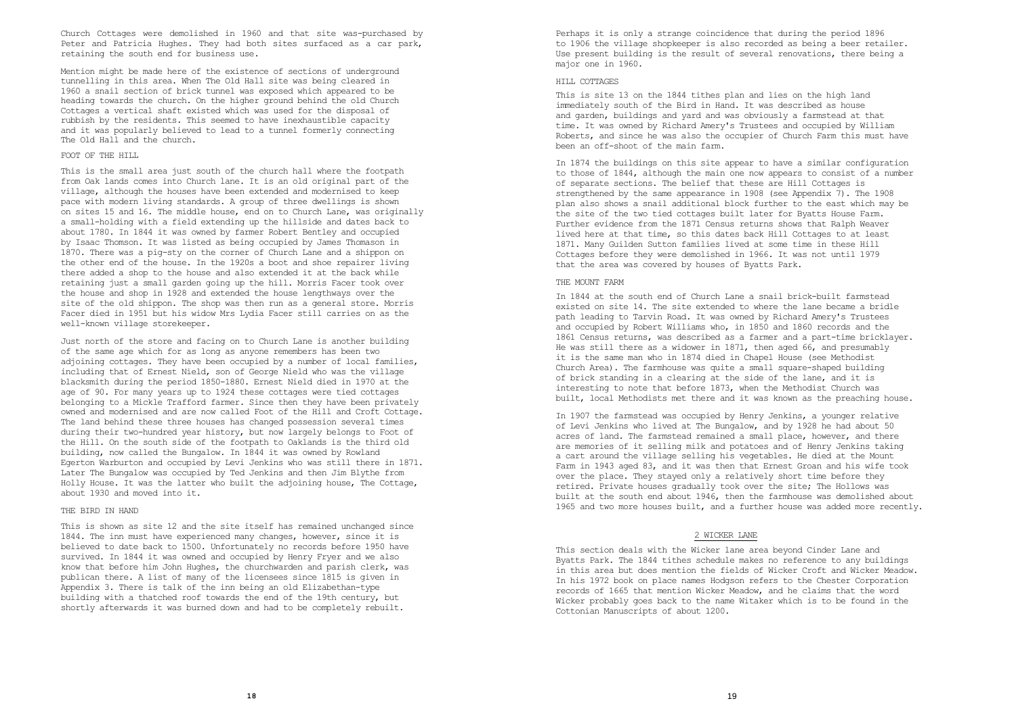Church Cottages were demolished in 1960 and that site was-purchased by Peter and Patricia Hughes. They had both sites surfaced as a car park, retaining the south end for business use.

Mention might be made here of the existence of sections of underground tunnelling in this area. When The Old Hall site was being cleared in 1960 a snail section of brick tunnel was exposed which appeared to be heading towards the church. On the higher ground behind the old Church Cottages a vertical shaft existed which was used for the disposal of rubbish by the residents. This seemed to have inexhaustible capacity and it was popularly believed to lead to a tunnel formerly connecting The Old Hall and the church.

#### FOOT OF THE HILL.

This is the small area just south of the church hall where the footpath from Oak lands comes into Church lane. It is an old original part of the village, although the houses have been extended and modernised to keep pace with modern living standards. A group of three dwellings is shown on sites 15 and 16. The middle house, end on to Church Lane, was originally a small-holding with a field extending up the hillside and dates back to about 1780. In 1844 it was owned by farmer Robert Bentley and occupied by Isaac Thomson. It was listed as being occupied by James Thomason in 1870. There was a pig-sty on the corner of Church Lane and a shippon on the other end of the house. In the 1920s a boot and shoe repairer living there added a shop to the house and also extended it at the back while retaining just a small garden going up the hill. Morris Facer took over the house and shop in 1928 and extended the house lengthways over the site of the old shippon. The shop was then run as a general store. Morris Facer died in 1951 but his widow Mrs Lydia Facer still carries on as the well-known village storekeeper.

Just north of the store and facing on to Church Lane is another building of the same age which for as long as anyone remembers has been two adjoining cottages. They have been occupied by a number of local families, including that of Ernest Nield, son of George Nield who was the village blacksmith during the period 1850-1880. Ernest Nield died in 1970 at the age of 90. For many years up to 1924 these cottages were tied cottages belonging to a Mickle Trafford farmer. Since then they have been privately owned and modernised and are now called Foot of the Hill and Croft Cottage. The land behind these three houses has changed possession several times during their two-hundred year history, but now largely belongs to Foot of the Hill. On the south side of the footpath to Oaklands is the third old building, now called the Bungalow. In 1844 it was owned by Rowland Egerton Warburton and occupied by Levi Jenkins who was still there in 1871. Later The Bungalow was occupied by Ted Jenkins and then Jim Blythe from Holly House. It was the latter who built the adjoining house, The Cottage, about 1930 and moved into it.

## THE BIRD IN HAND

This is shown as site 12 and the site itself has remained unchanged since 1844. The inn must have experienced many changes, however, since it is believed to date back to 1500. Unfortunately no records before 1950 have survived. In 1844 it was owned and occupied by Henry Fryer and we also know that before him John Hughes, the churchwarden and parish clerk, was publican there. A list of many of the licensees since 1815 is given in Appendix 3. There is talk of the inn being an old Elizabethan-type building with a thatched roof towards the end of the 19th century, but shortly afterwards it was burned down and had to be completely rebuilt.

Perhaps it is only a strange coincidence that during the period 1896 to 1906 the village shopkeeper is also recorded as being a beer retailer. Use present building is the result of several renovations, there being a major one in 1960.

# HILL COTTAGES

This is site 13 on the 1844 tithes plan and lies on the high land immediately south of the Bird in Hand. It was described as house and garden, buildings and yard and was obviously a farmstead at that time. It was owned by Richard Amery's Trustees and occupied by William Roberts, and since he was also the occupier of Church Farm this must have been an off-shoot of the main farm.

In 1874 the buildings on this site appear to have a similar configuration to those of 1844, although the main one now appears to consist of a number of separate sections. The belief that these are Hill Cottages is strengthened by the same appearance in 1908 (see Appendix 7). The 1908 plan also shows a snail additional block further to the east which may be the site of the two tied cottages built later for Byatts House Farm. Further evidence from the 1871 Census returns shows that Ralph Weaver lived here at that time, so this dates back Hill Cottages to at least 1871. Many Guilden Sutton families lived at some time in these Hill Cottages before they were demolished in 1966. It was not until 1979 that the area was covered by houses of Byatts Park.

### THE MOUNT FARM

In 1844 at the south end of Church Lane a snail brick-built farmstead existed on site 14. The site extended to where the lane became a bridle path leading to Tarvin Road. It was owned by Richard Amery's Trustees and occupied by Robert Williams who, in 1850 and 1860 records and the 1861 Census returns, was described as a farmer and a part-time bricklayer. He was still there as a widower in 1871, then aged 66, and presumably it is the same man who in 1874 died in Chapel House (see Methodist Church Area). The farmhouse was quite a small square-shaped building of brick standing in a clearing at the side of the lane, and it is interesting to note that before 1873, when the Methodist Church was built, local Methodists met there and it was known as the preaching house.

In 1907 the farmstead was occupied by Henry Jenkins, a younger relative of Levi Jenkins who lived at The Bungalow, and by 1928 he had about 50 acres of land. The farmstead remained a small place, however, and there are memories of it selling milk and potatoes and of Henry Jenkins taking a cart around the village selling his vegetables. He died at the Mount Farm in 1943 aged 83, and it was then that Ernest Groan and his wife took over the place. They stayed only a relatively short time before they retired. Private houses gradually took over the site; The Hollows was built at the south end about 1946, then the farmhouse was demolished about 1965 and two more houses built, and a further house was added more recently.

# 2 WICKER LANE

This section deals with the Wicker lane area beyond Cinder Lane and Byatts Park. The 1844 tithes schedule makes no reference to any buildings in this area but does mention the fields of Wicker Croft and Wicker Meadow. In his 1972 book on place names Hodgson refers to the Chester Corporation records of 1665 that mention Wicker Meadow, and he claims that the word Wicker probably goes back to the name Witaker which is to be found in the Cottonian Manuscripts of about 1200.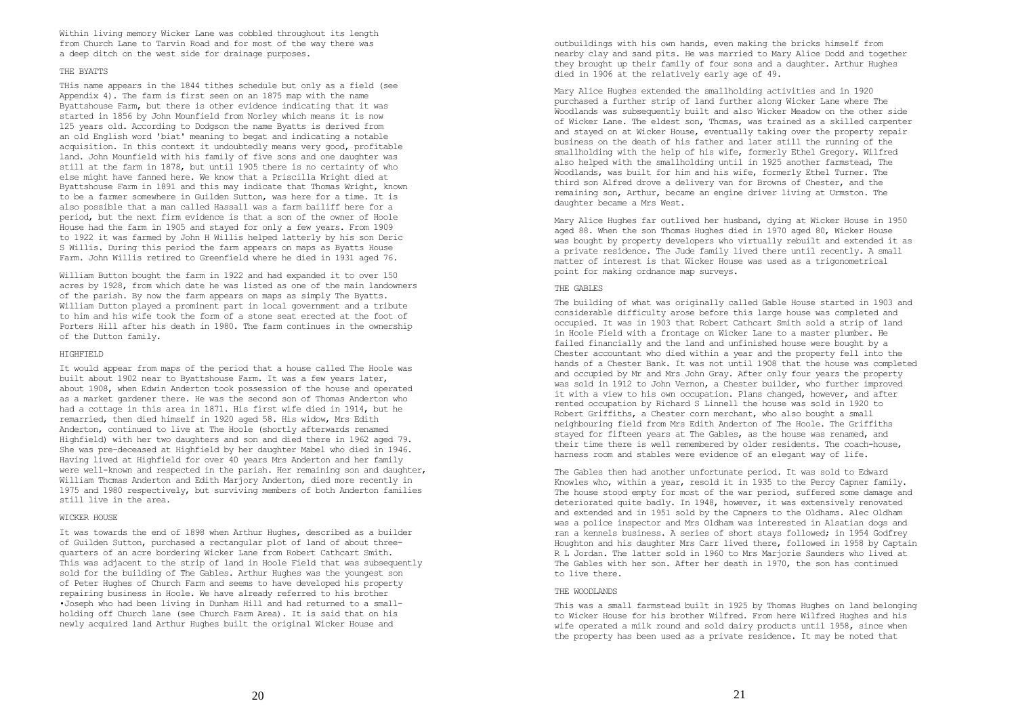Within living memory Wicker Lane was cobbled throughout its length from Church Lane to Tarvin Road and for most of the way there was a deep ditch on the west side for drainage purposes.

## THE BYATTS

THis name appears in the 1844 tithes schedule but only as a field (see Appendix 4). The farm is first seen on an 1875 map with the name Byattshouse Farm, but there is other evidence indicating that it was started in 1856 by John Mounfield from Norley which means it is now 125 years old. According to Dodgson the name Byatts is derived from an old English word 'biat' meaning to begat and indicating a notable acquisition. In this context it undoubtedly means very good, profitable land. John Mounfield with his family of five sons and one daughter was still at the farm in 1878, but until 1905 there is no certainty of who else might have fanned here. We know that a Priscilla Wright died at Byattshouse Farm in 1891 and this may indicate that Thomas Wright, known to be a farmer somewhere in Guilden Sutton, was here for a time. It is also possible that a man called Hassall was a farm bailiff here for a period, but the next firm evidence is that a son of the owner of Hoole House had the farm in 1905 and stayed for only a few years. From 1909 to 1922 it was farmed by John H Willis helped latterly by his son Deric S Willis. During this period the farm appears on maps as Byatts House Farm. John Willis retired to Greenfield where he died in 1931 aged 76.

William Button bought the farm in 1922 and had expanded it to over 150 acres by 1928, from which date he was listed as one of the main landowners of the parish. By now the farm appears on maps as simply The Byatts. William Dutton played a prominent part in local government and a tribute to him and his wife took the form of a stone seat erected at the foot of Porters Hill after his death in 1980. The farm continues in the ownership of the Dutton family.

#### **HIGHFIELD**

It would appear from maps of the period that a house called The Hoole was built about 1902 near to Byattshouse Farm. It was a few years later, about 1908, when Edwin Anderton took possession of the house and operated as a market gardener there. He was the second son of Thomas Anderton who had a cottage in this area in 1871. His first wife died in 1914, but he remarried, then died himself in 1920 aged 58. His widow, Mrs Edith Anderton, continued to live at The Hoole (shortly afterwards renamed Highfield) with her two daughters and son and died there in 1962 aged 79. She was pre-deceased at Highfield by her daughter Mabel who died in 1946. Having lived at Highfield for over 40 years Mrs Anderton and her family were well-known and respected in the parish. Her remaining son and daughter, William Thcmas Anderton and Edith Marjory Anderton, died more recently in 1975 and 1980 respectively, but surviving members of both Anderton families still live in the area.

### WICKER HOUSE

It was towards the end of 1898 when Arthur Hughes, described as a builder of Guilden Sutton, purchased a rectangular plot of land of about threequarters of an acre bordering Wicker Lane from Robert Cathcart Smith. This was adjacent to the strip of land in Hoole Field that was subsequently sold for the building of The Gables. Arthur Hughes was the youngest son of Peter Hughes of Church Farm and seems to have developed his property repairing business in Hoole. We have already referred to his brother •Joseph who had been living in Dunham Hill and had returned to a smallholding off Church lane (see Church Farm Area). It is said that on his newly acquired land Arthur Hughes built the original Wicker House and

outbuildings with his own hands, even making the bricks himself from nearby clay and sand pits. He was married to Mary Alice Dodd and together they brought up their family of four sons and a daughter. Arthur Hughes died in 1906 at the relatively early age of 49.

Mary Alice Hughes extended the smallholding activities and in 1920 purchased a further strip of land further along Wicker Lane where The Woodlands was subsequently built and also Wicker Meadow on the other side of Wicker Lane. The eldest son, Thcmas, was trained as a skilled carpenter and stayed on at Wicker House, eventually taking over the property repair business on the death of his father and later still the running of the smallholding with the help of his wife, formerly Ethel Gregory. Wilfred also helped with the smallholding until in 1925 another farmstead, The Woodlands, was built for him and his wife, formerly Ethel Turner. The third son Alfred drove a delivery van for Browns of Chester, and the remaining son, Arthur, became an engine driver living at Urmston. The daughter became a Mrs West.

Mary Alice Hughes far outlived her husband, dying at Wicker House in 1950 aged 88. When the son Thomas Hughes died in 1970 aged 80, Wicker House was bought by property developers who virtually rebuilt and extended it as a private residence. The Jude family lived there until recently. A small matter of interest is that Wicker House was used as a trigonometrical point for making ordnance map surveys.

### THE GABLES

The building of what was originally called Gable House started in 1903 and considerable difficulty arose before this large house was completed and occupied. It was in 1903 that Robert Cathcart Smith sold a strip of land in Hoole Field with a frontage on Wicker Lane to a master plumber. He failed financially and the land and unfinished house were bought by a Chester accountant who died within a year and the property fell into the hands of a Chester Bank. It was not until 1908 that the house was completed and occupied by Mr and Mrs John Gray. After only four years the property was sold in 1912 to John Vernon, a Chester builder, who further improved it with a view to his own occupation. Plans changed, however, and after rented occupation by Richard S Linnell the house was sold in 1920 to Robert Griffiths, a Chester corn merchant, who also bought a small neighbouring field from Mrs Edith Anderton of The Hoole. The Griffiths stayed for fifteen years at The Gables, as the house was renamed, and their time there is well remembered by older residents. The coach-house, harness room and stables were evidence of an elegant way of life.

The Gables then had another unfortunate period. It was sold to Edward Knowles who, within a year, resold it in 1935 to the Percy Capner family. The house stood empty for most of the war period, suffered some damage and deteriorated quite badly. In 1948, however, it was extensively renovated and extended and in 1951 sold by the Capners to the Oldhams. Alec Oldham was a police inspector and Mrs Oldham was interested in Alsatian dogs and ran a kennels business. A series of short stays followed; in 1954 Godfrey Houghton and his daughter Mrs Carr lived there, followed in 1958 by Captain R L Jordan. The latter sold in 1960 to Mrs Marjorie Saunders who lived at The Gables with her son. After her death in 1970, the son has continued to live there.

# THE WOODLANDS

This was a small farmstead built in 1925 by Thomas Hughes on land belonging to Wicker House for his brother Wilfred. From here Wilfred Hughes and his wife operated a milk round and sold dairy products until 1958, since when the property has been used as a private residence. It may be noted that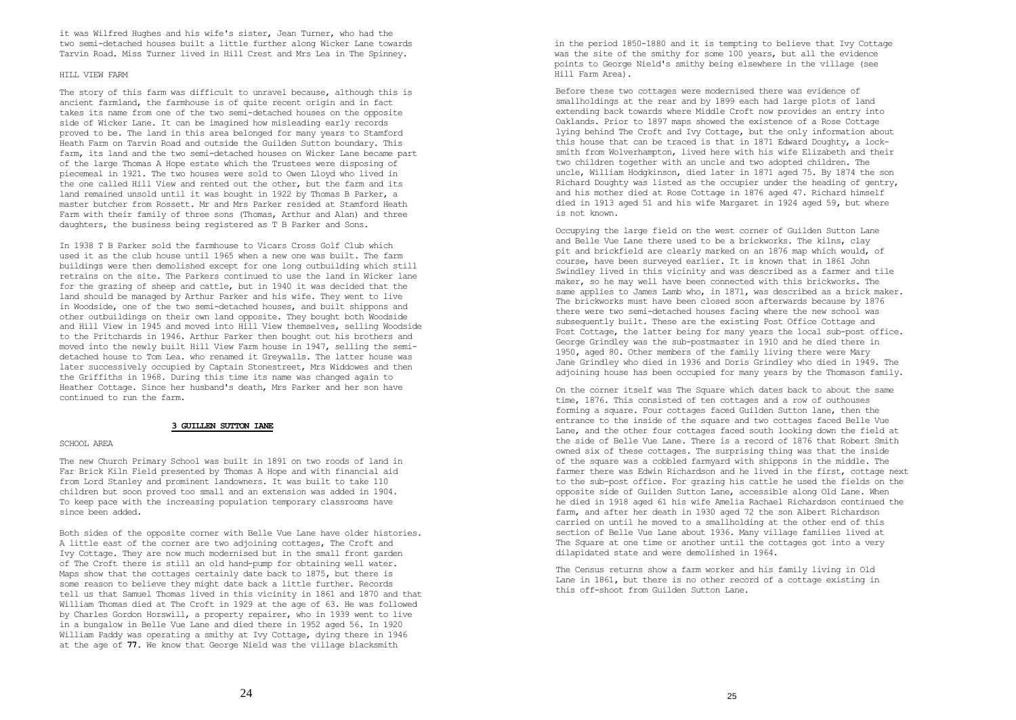it was Wilfred Hughes and his wife's sister, Jean Turner, who had the two semi-detached houses built a little further along Wicker Lane towards Tarvin Road. Miss Turner lived in Hill Crest and Mrs Lea in The Spinney.

## HILL VIEW FARM

The story of this farm was difficult to unravel because, although this is ancient farmland, the farmhouse is of quite recent origin and in fact takes its name from one of the two semi-detached houses on the opposite side of Wicker Lane. It can be imagined how misleading early records proved to be. The land in this area belonged for many years to Stamford Heath Farm on Tarvin Road and outside the Guilden Sutton boundary. This farm, its land and the two semi-detached houses on Wicker Lane became part of the large Thomas A Hope estate which the Trustees were disposing of piecemeal in 1921. The two houses were sold to Owen Lloyd who lived in the one called Hill View and rented out the other, but the farm and its land remained unsold until it was bought in 1922 by Thomas B Parker, a master butcher from Rossett. Mr and Mrs Parker resided at Stamford Heath Farm with their family of three sons (Thomas, Arthur and Alan) and three daughters, the business being registered as T B Parker and Sons.

In 1938 T B Parker sold the farmhouse to Vicars Cross Golf Club which used it as the club house until 1965 when a new one was built. The farm buildings were then demolished except for one long outbuilding which still retrains on the site. The Parkers continued to use the land in Wicker lane for the grazing of sheep and cattle, but in 1940 it was decided that the land should be managed by Arthur Parker and his wife. They went to live in Woodside, one of the two semi-detached houses, and built shippons and other outbuildings on their own land opposite. They bought both Woodside and Hill View in 1945 and moved into Hill View themselves, selling Woodside to the Pritchards in 1946. Arthur Parker then bought out his brothers and moved into the newly built Hill View Farm house in 1947, selling the semidetached house to Tom Lea. who renamed it Greywalls. The latter house was later successively occupied by Captain Stonestreet, Mrs Widdowes and then the Griffiths in 1968. During this time its name was changed again to Heather Cottage. Since her husband's death, Mrs Parker and her son have continued to run the farm.

### **3 GUILLEN SUTTON IANE**

## SCHOOL AREA

The new Church Primary School was built in 1891 on two roods of land in Far Brick Kiln Field presented by Thomas A Hope and with financial aid from Lord Stanley and prominent landowners. It was built to take 110 children but soon proved too small and an extension was added in 1904**.** To keep pace with the increasing population temporary classrooms have since been added.

Both sides of the opposite corner with Belle Vue Lane have older histories. A little east of the corner are two adjoining cottages, The Croft and Ivy Cottage. They are now much modernised but in the small front garden of The Croft there is still an old hand-pump for obtaining well water. Maps show that the cottages certainly date back to 1875**,** but there is some reason to believe they might date back a little further. Records tell us that Samuel Thomas lived in this vicinity in 1861 and 1870 and that William Thomas died at The Croft in 1929 at the age of 63**.** He was followed by Charles Gordon Horswill, a property repairer, who in 1939 went to live in a bungalow in Belle Vue Lane and died there in 1952 aged 56**.** In 1920 William Paddy was operating a smithy at Ivy Cottage, dying there in 1946 at the age of **77.** We know that George Nield was the village blacksmith

in the period 1850-1880 and it is tempting to believe that Ivy Cottage was the site of the smithy for some 100 years, but all the evidence points to George Nield's smithy being elsewhere in the village (see Hill Farm Area).

Before these two cottages were modernised there was evidence of smallholdings at the rear and by 1899 each had large plots of land extending back towards where Middle Croft now provides an entry into Oaklands. Prior to 1897 maps showed the existence of a Rose Cottage lying behind The Croft and Ivy Cottage, but the only information about this house that can be traced is that in 1871 Edward Doughty, a locksmith from Wolverhampton, lived here with his wife Elizabeth and their two children together with an uncle and two adopted children. The uncle, William Hodgkinson, died later in 1871 aged 75**.** By 1874 the son Richard Doughty was listed as the occupier under the heading of gentry, and his mother died at Rose Cottage in 1876 aged 47**.** Richard himself died in 1913 aged 51 and his wife Margaret in 1924 aged 59**,** but where is not known.

Occupying the large field on the west corner of Guilden Sutton Lane and Belle Vue Lane there used to be a brickworks. The kilns, clay pit and brickfield are clearly marked on an 1876 map which would, of course, have been surveyed earlier. It is known that in 1861 John Swindley lived in this vicinity and was described as a farmer and tile maker, so he may well have been connected with this brickworks. The same applies to James Lamb who, in 1871**,** was described as a brick maker. The brickworks must have been closed soon afterwards because by 1876 there were two semi-detached houses facing where the new school was subsequently built. These are the existing Post Office Cottage and Post Cottage, the latter being for many years the local sub-post office. George Grindley was the sub-postmaster in 1910 and he died there in 1950**,** aged 80**.** Other members of the family living there were Mary Jane Grindley who died in 1936 and Doris Grindley who died in 1949**.** The adjoining house has been occupied for many years by the Thomason family.

On the corner itself was The Square which dates back to about the same time, 1876**.** This consisted of ten cottages and a row of outhouses forming a square. Four cottages faced Guilden Sutton lane, then the entrance to the inside of the square and two cottages faced Belle Vue Lane, and the other four cottages faced south looking down the field at the side of Belle Vue Lane. There is a record of 1876 that Robert Smith owned six of these cottages. The surprising thing was that the inside of the square was a cobbled farmyard with shippons in the middle. The farmer there was Edwin Richardson and he lived in the first, cottage next to the sub-post office. For grazing his cattle he used the fields on the opposite side of Guilden Sutton Lane, accessible along Old Lane. When he died in 1918 aged 61 his wife Amelia Rachael Richardson continued the farm, and after her death in 1930 aged 72 the son Albert Richardson carried on until he moved to a smallholding at the other end of this section of Belle Vue Lane about 1936**.** Many village families lived at The Square at one time or another until the cottages got into a very dilapidated state and were demolished in 1964**.**

The Census returns show a farm worker and his family living in Old Lane in 1861**,** but there is no other record of a cottage existing in this off-shoot from Guilden Sutton Lane.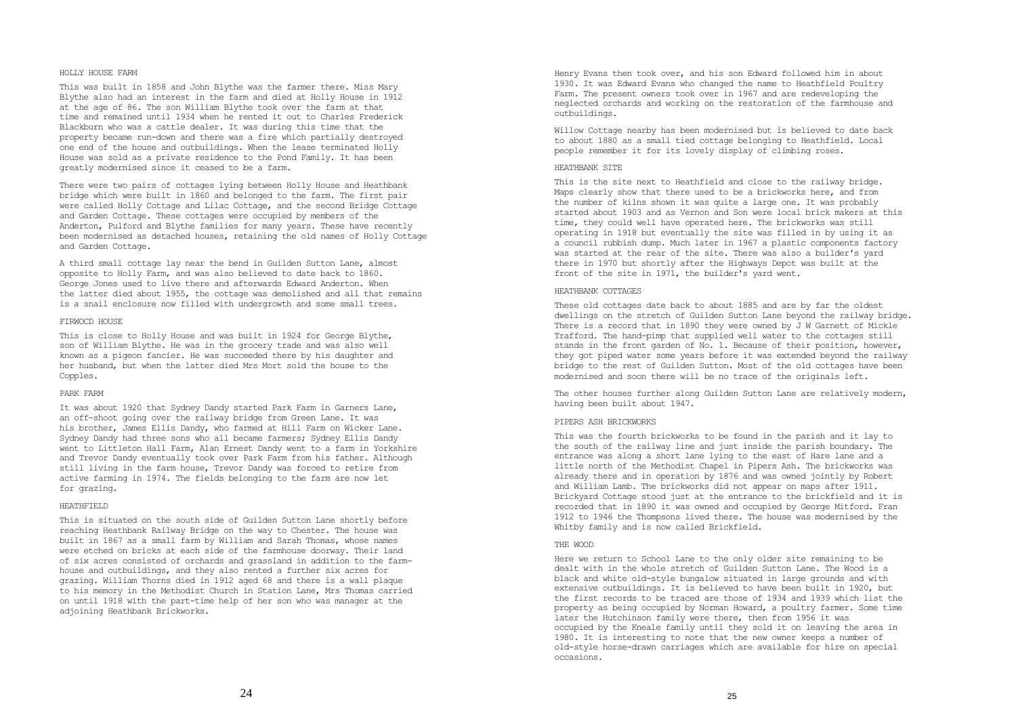## HOLLY HOUSE FARM

This was built in 1858 and John Blythe was the farmer there. Miss Mary Blythe also had an interest in the farm and died at Holly House in 1912 at the age of 86. The son William Blythe took over the farm at that time and remained until 1934 when he rented it out to Charles Frederick Blackburn who was a cattle dealer. It was during this time that the property became run-down and there was a fire which partially destroyed one end of the house and outbuildings. When the lease terminated Holly House was sold as a private residence to the Pond Family. It has been greatly modernised since it ceased to be a farm.

There were two pairs of cottages lying between Holly House and Heathbank bridge which were built in 1860 and belonged to the farm. The first pair were called Holly Cottage and Lilac Cottage, and the second Bridge Cottage and Garden Cottage. These cottages were occupied by members of the Anderton, Pulford and Blythe families for many years. These have recently been modernised as detached houses, retaining the old names of Holly Cottage and Garden Cottage.

A third small cottage lay near the bend in Guilden Sutton Lane, almost opposite to Holly Farm, and was also believed to date back to 1860. George Jones used to live there and afterwards Edward Anderton. When the latter died about 1955, the cottage was demolished and all that remains is a snail enclosure now filled with undergrowth and some small trees.

## FIRWOCD HOUSE

This is close to Holly House and was built in 1924 for George Blythe, son of William Blythe. He was in the grocery trade and was also well known as a pigeon fancier. He was succeeded there by his daughter and her husband, but when the latter died Mrs Mort sold the house to the Copples.

## PARK FARM

It was about 1920 that Sydney Dandy started Park Farm in Garners Lane, an off-shoot going over the railway bridge from Green Lane. It was his brother, James Ellis Dandy, who farmed at Hill Farm on Wicker Lane. Sydney Dandy had three sons who all became farmers; Sydney Ellis Dandy went to Littleton Hall Farm, Alan Ernest Dandy went to a farm in Yorkshire and Trevor Dandy eventually took over Park Farm from his father. Although still living in the farm house, Trevor Dandy was forced to retire from active farming in 1974. The fields belonging to the farm are now let for grazing.

## HEATHFIELD

This is situated on the south side of Guilden Sutton Lane shortly before reaching Heathbank Railway Bridge on the way to Chester. The house was built in 1867 as a small farm by William and Sarah Thomas, whose names were etched on bricks at each side of the farmhouse doorway. Their land of six acres consisted of orchards and grassland in addition to the farmhouse and outbuildings, and they also rented a further six acres for grazing. William Thorns died in 1912 aged 68 and there is a wall plaque to his memory in the Methodist Church in Station Lane, Mrs Thomas carried on until 1918 with the part-time help of her son who was manager at the adjoining Heathbank Brickworks.

Henry Evans then took over, and his son Edward followed him in about 1930. It was Edward Evans who changed the name to Heathfield Poultry Farm. The present owners took over in 1967 and are redeveloping the neglected orchards and working on the restoration of the farmhouse and outbuildings.

Willow Cottage nearby has been modernised but is believed to date back to about 1880 as a small tied cottage belonging to Heathfield. Local people remember it for its lovely display of climbing roses.

## HEATHBANK STTE

This is the site next to Heathfield and close to the railway bridge. Maps clearly show that there used to be a brickworks here, and from the number of kilns shown it was quite a large one. It was probably started about 1903 and as Vernon and Son were local brick makers at this time, they could well have operated here. The brickworks was still operating in 1918 but eventually the site was filled in by using it as a council rubbish dump. Much later in 1967 a plastic components factory was started at the rear of the site. There was also a builder's yard there in 1970 but shortly after the Highways Depot was built at the front of the site in 1971, the builder's yard went.

#### HEATHBANK COTTAGES

These old cottages date back to about 1885 and are by far the oldest dwellings on the stretch of Guilden Sutton Lane beyond the railway bridge. There is a record that in 1890 they were owned by  $\overline{J}$  W Garnett of Mickle Trafford. The hand-pimp that supplied well water to the cottages still stands in the front garden of No. 1. Because of their position, however, they got piped water some years before it was extended beyond the railway bridge to the rest of Guilden Sutton. Most of the old cottages have been modernised and soon there will be no trace of the originals left.

The other houses further along Guilden Sutton Lane are relatively modern, having been built about 1947.

## PIPERS ASH BRICKWORKS

This was the fourth brickworks to be found in the parish and it lay to the south of the railway line and just inside the parish boundary. The entrance was along a short lane lying to the east of Hare lane and a little north of the Methodist Chapel in Pipers Ash. The brickworks was already there and in operation by 1876 and was owned jointly by Robert and William Lamb. The brickworks did not appear on maps after 1911. Brickyard Cottage stood just at the entrance to the brickfield and it is recorded that in 1890 it was owned and occupied by George Mitford. Fran 1912 to 1946 the Thompsons lived there. The house was modernised by the Whitby family and is now called Brickfield.

#### THE WOOD

Here we return to School Lane to the only older site remaining to be dealt with in the whole stretch of Guilden Sutton Lane. The Wood is a black and white old-style bungalow situated in large grounds and with extensive outbuildings. It is believed to have been built in 1920, but the first records to be traced are those of 1934 and 1939 which list the property as being occupied by Norman Howard, a poultry farmer. Some time later the Hutchinson family were there, then from 1956 it was occupied by the Kneale family until they sold it on leaving the area in 1980. It is interesting to note that the new owner keeps a number of old-style horse-drawn carriages which are available for hire on special occasions**.**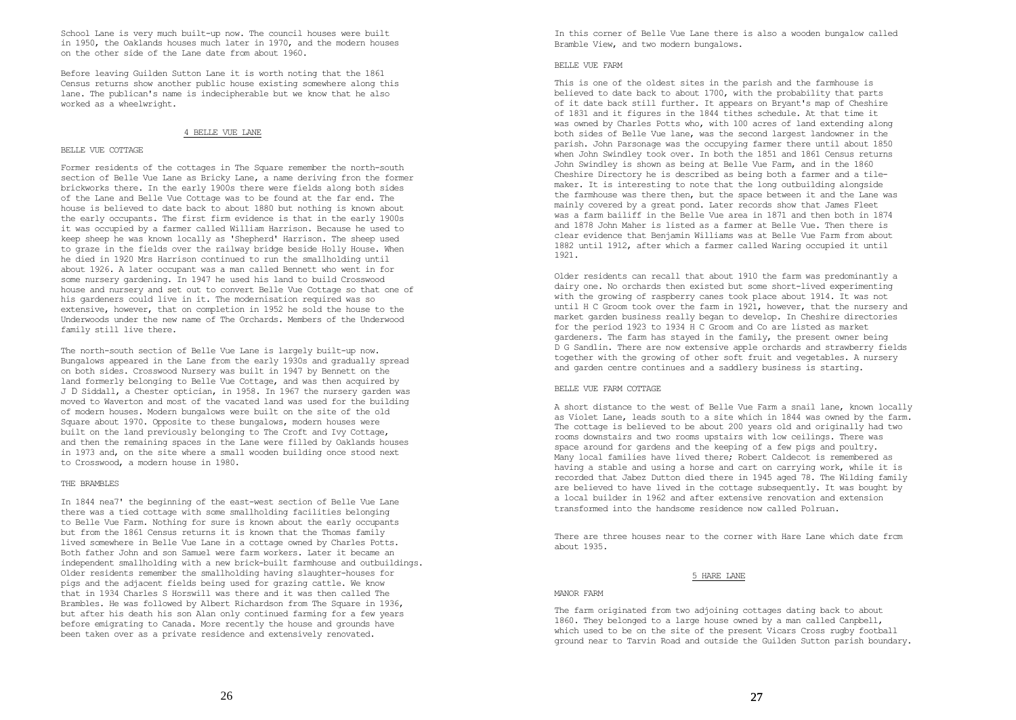School Lane is very much built-up now. The council houses were built in 1950, the Oaklands houses much later in 1970, and the modern houses on the other side of the Lane date from about 1960.

Before leaving Guilden Sutton Lane it is worth noting that the 1861 Census returns show another public house existing somewhere along this lane. The publican's name is indecipherable but we know that he also worked as a wheelwright.

#### 4 BELLE VUE LANE

## BELLE VUE COTTAGE

Former residents of the cottages in The Square remember the north-south section of Belle Vue Lane as Bricky Lane, a name deriving fron the former brickworks there. In the early 1900s there were fields along both sides of the Lane and Belle Vue Cottage was to be found at the far end. The house is believed to date back to about 1880 but nothing is known about the early occupants. The first firm evidence is that in the early 1900s it was occupied by a farmer called William Harrison. Because he used to keep sheep he was known locally as 'Shepherd' Harrison. The sheep used to graze in the fields over the railway bridge beside Holly House. When he died in 1920 Mrs Harrison continued to run the smallholding until about 1926. A later occupant was a man called Bennett who went in for some nursery gardening. In 1947 he used his land to build Crosswood house and nursery and set out to convert Belle Vue Cottage so that one of his gardeners could live in it. The modernisation required was so extensive, however, that on completion in 1952 he sold the house to the Underwoods under the new name of The Orchards. Members of the Underwood family still live there.

The north-south section of Belle Vue Lane is largely built-up now. Bungalows appeared in the Lane from the early 1930s and gradually spread on both sides. Crosswood Nursery was built in 1947 by Bennett on the land formerly belonging to Belle Vue Cottage, and was then acquired by J D Siddall, a Chester optician, in 1958. In 1967 the nursery garden was moved to Waverton and most of the vacated land was used for the building of modern houses. Modern bungalows were built on the site of the old Square about 1970. Opposite to these bungalows, modern houses were built on the land previously belonging to The Croft and Ivy Cottage, and then the remaining spaces in the Lane were filled by Oaklands houses in 1973 and, on the site where a small wooden building once stood next to Crosswood, a modern house in 1980.

## THE BRAMBLES

In 1844 nea7' the beginning of the east-west section of Belle Vue Lane there was a tied cottage with some smallholding facilities belonging to Belle Vue Farm. Nothing for sure is known about the early occupants but from the 1861 Census returns it is known that the Thomas family lived somewhere in Belle Vue Lane in a cottage owned by Charles Potts. Both father John and son Samuel were farm workers. Later it became an independent smallholding with a new brick-built farmhouse and outbuildings. Older residents remember the smallholding having slaughter-houses for pigs and the adjacent fields being used for grazing cattle. We know that in 1934 Charles S Horswill was there and it was then called The Brambles. He was followed by Albert Richardson from The Square in 1936, but after his death his son Alan only continued farming for a few years before emigrating to Canada. More recently the house and grounds have been taken over as a private residence and extensively renovated.

In this corner of Belle Vue Lane there is also a wooden bungalow called Bramble View, and two modern bungalows.

#### BELLE VUE FARM

This is one of the oldest sites in the parish and the farmhouse is believed to date back to about 1700, with the probability that parts of it date back still further. It appears on Bryant's map of Cheshire of 1831 and it figures in the 1844 tithes schedule. At that time it was owned by Charles Potts who, with 100 acres of land extending along both sides of Belle Vue lane, was the second largest landowner in the parish. John Parsonage was the occupying farmer there until about 1850 when John Swindley took over. In both the 1851 and 1861 Census returns John Swindley is shown as being at Belle Vue Farm, and in the 1860 Cheshire Directory he is described as being both a farmer and a tilemaker. It is interesting to note that the long outbuilding alongside the farmhouse was there then, but the space between it and the Lane was mainly covered by a great pond. Later records show that James Fleet was a farm bailiff in the Belle Vue area in 1871 and then both in 1874 and 1878 John Maher is listed as a farmer at Belle Vue. Then there is clear evidence that Benjamin Williams was at Belle Vue Farm from about 1882 until 1912, after which a farmer called Waring occupied it until 1921.

Older residents can recall that about 1910 the farm was predominantly a dairy one. No orchards then existed but some short-lived experimenting with the growing of raspberry canes took place about 1914. It was not until H C Groom took over the farm in 1921, however, that the nursery and market garden business really began to develop. In Cheshire directories for the period 1923 to 1934 H C Groom and Co are listed as market gardeners. The farm has stayed in the family, the present owner being D G Sandlin. There are now extensive apple orchards and strawberry fields together with the growing of other soft fruit and vegetables. A nursery and garden centre continues and a saddlery business is starting.

## BELLE VUE FARM COTTAGE

A short distance to the west of Belle Vue Farm a snail lane, known locally as Violet Lane, leads south to a site which in 1844 was owned by the farm. The cottage is believed to be about 200 years old and originally had two rooms downstairs and two rooms upstairs with low ceilings. There was space around for gardens and the keeping of a few pigs and poultry. Many local families have lived there; Robert Caldecot is remembered as having a stable and using a horse and cart on carrying work, while it is recorded that Jabez Dutton died there in 1945 aged 78. The Wilding family are believed to have lived in the cottage subsequently. It was bought by a local builder in 1962 and after extensive renovation and extension transformed into the handsome residence now called Polruan.

There are three houses near to the corner with Hare Lane which date frcm about 1935.

#### 5 HARE LANE

# MANOR FARM

The farm originated from two adjoining cottages dating back to about 1860. They belonged to a large house owned by a man called Canpbell, which used to be on the site of the present Vicars Cross rugby football ground near to Tarvin Road and outside the Guilden Sutton parish boundary.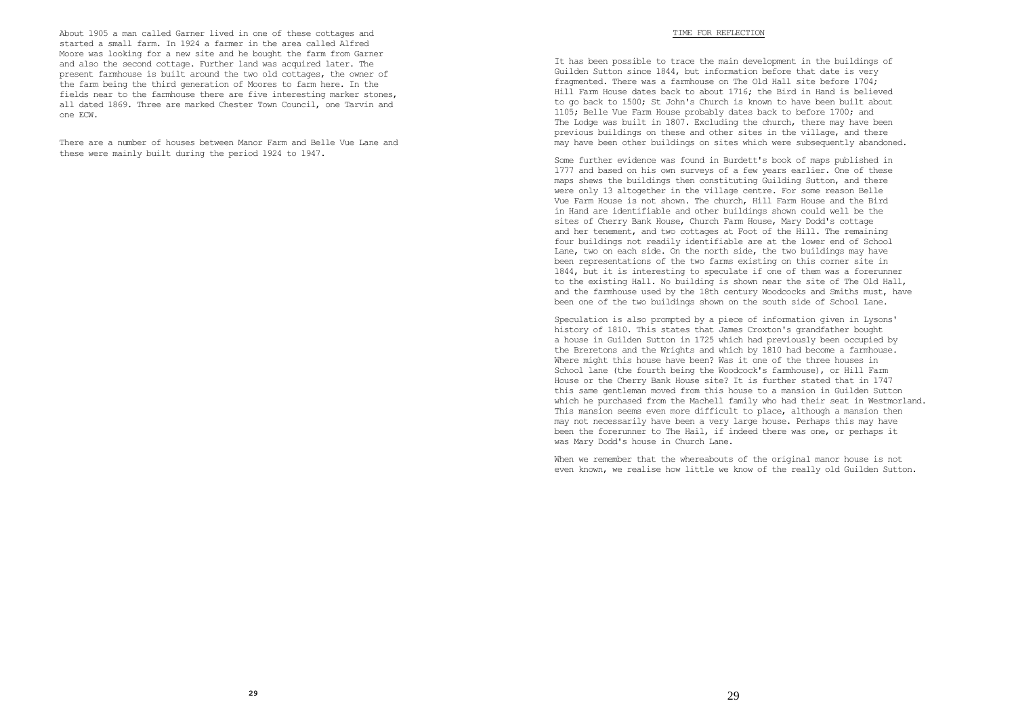About 1905 a man called Garner lived in one of these cottages and started a small farm. In 1924 a farmer in the area called Alfred Moore was looking for a new site and he bought the farm from Garner and also the second cottage. Further land was acquired later. The present farmhouse is built around the two old cottages, the owner of the farm being the third generation of Moores to farm here. In the fields near to the farmhouse there are five interesting marker stones, all dated 1869. Three are marked Chester Town Council, one Tarvin and one ECW.

There are a number of houses between Manor Farm and Belle Vue Lane and these were mainly built during the period 1924 to 1947.

## TIME FOR REFLECTION

It has been possible to trace the main development in the buildings of Guilden Sutton since 1844, but information before that date is very fragmented. There was a farmhouse on The Old Hall site before 1704; Hill Farm House dates back to about 1716; the Bird in Hand is believed to go back to 1500; St John's Church is known to have been built about 1105; Belle Vue Farm House probably dates back to before 1700; and The Lodge was built in 1807. Excluding the church, there may have been previous buildings on these and other sites in the village, and there may have been other buildings on sites which were subsequently abandoned.

Some further evidence was found in Burdett's book of maps published in 1777 and based on his own surveys of a few years earlier. One of these maps shews the buildings then constituting Guilding Sutton, and there were only 13 altogether in the village centre. For some reason Belle Vue Farm House is not shown. The church, Hill Farm House and the Bird in Hand are identifiable and other buildings shown could well be the sites of Cherry Bank House, Church Farm House, Mary Dodd's cottage and her tenement, and two cottages at Foot of the Hill. The remaining four buildings not readily identifiable are at the lower end of School Lane, two on each side. On the north side, the two buildings may have been representations of the two farms existing on this corner site in 1844, but it is interesting to speculate if one of them was a forerunner to the existing Hall. No building is shown near the site of The Old Hall, and the farmhouse used by the 18th century Woodcocks and Smiths must, have been one of the two buildings shown on the south side of School Lane.

Speculation is also prompted by a piece of information given in Lysons' history of 1810. This states that James Croxton's grandfather bought a house in Guilden Sutton in 1725 which had previously been occupied by the Breretons and the Wrights and which by 1810 had become a farmhouse. Where might this house have been? Was it one of the three houses in School lane (the fourth being the Woodcock's farmhouse), or Hill Farm House or the Cherry Bank House site? It is further stated that in 1747 this same gentleman moved from this house to a mansion in Guilden Sutton which he purchased from the Machell family who had their seat in Westmorland. This mansion seems even more difficult to place, although a mansion then may not necessarily have been a very large house. Perhaps this may have been the forerunner to The Hail, if indeed there was one, or perhaps it was Mary Dodd's house in Church Lane.

When we remember that the whereabouts of the original manor house is not even known, we realise how little we know of the really old Guilden Sutton.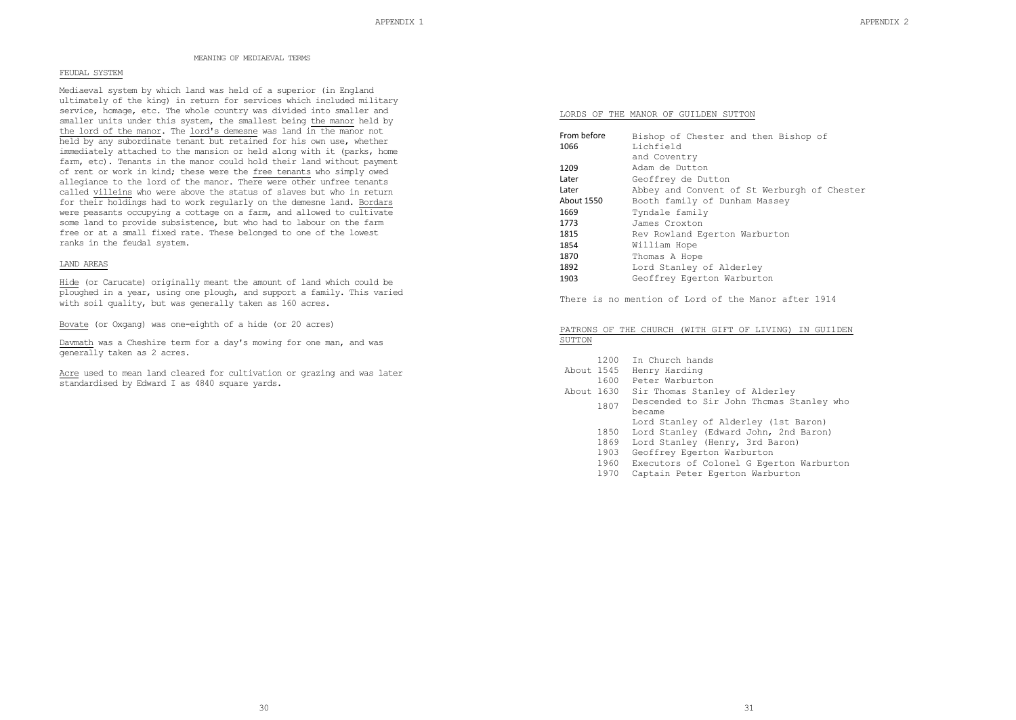## MEANING OF MEDIAEVAL TERMS

## FEUDAL SYSTEM

Mediaeval system by which land was held of a superior (in England ultimately of the king) in return for services which included military service, homage, etc. The whole country was divided into smaller and smaller units under this system, the smallest being the manor held by the lord of the manor. The lord's demesne was land in the manor not held by any subordinate tenant but retained for his own use, whether immediately attached to the mansion or held along with it (parks, home farm, etc). Tenants in the manor could hold their land without payment of rent or work in kind; these were the free tenants who simply owed allegiance to the lord of the manor. There were other unfree tenants called villeins who were above the status of slaves but who in return for their holdings had to work regularly on the demesne land. Bordars were peasants occupying a cottage on a farm, and allowed to cultivate some land to provide subsistence, but who had to labour on the farm free or at a small fixed rate. These belonged to one of the lowest ranks in the feudal system.

# LAND AREAS

Hide (or Carucate) originally meant the amount of land which could be ploughed in a year, using one plough, and support a family. This varied with soil quality, but was generally taken as 160 acres.

Bovate (or Oxgang) was one-eighth of a hide (or 20 acres)

Davmath was a Cheshire term for a day's mowing for one man, and was generally taken as 2 acres.

Acre used to mean land cleared for cultivation or grazing and was later standardised by Edward I as 4840 square yards.

#### LORDS OF THE MANOR OF GUILDEN SUTTON

| From before | Bishop of Chester and then Bishop of        |
|-------------|---------------------------------------------|
| 1066        | Lichfield                                   |
|             | and Coventry                                |
| 1209        | Adam de Dutton                              |
| Later       | Geoffrey de Dutton                          |
| Later       | Abbey and Convent of St Werburgh of Chester |
| About 1550  | Booth family of Dunham Massey               |
| 1669        | Tyndale family                              |
| 1773        | James Croxton                               |
| 1815        | Rev Rowland Eqerton Warburton               |
| 1854        | William Hope                                |
| 1870        | Thomas A Hope                               |
| 1892        | Lord Stanley of Alderley                    |
| 1903        | Geoffrey Egerton Warburton                  |
|             |                                             |

There is no mention of Lord of the Manor after 1914

## PATRONS OF THE CHURCH (WITH GIFT OF LIVING) IN GUI1DEN SUTTON

- 1200 In Church hands
- About 1545 Henry Harding
	- 1600 Peter Warburton
- About 1630 Sir Thomas Stanley of Alderley
- 1807 Descended to Sir John Thcmas Stanley who became
	- Lord Stanley of Alderley (1st Baron)
	- 1850 Lord Stanley (Edward John, 2nd Baron)
	- 1869 Lord Stanley (Henry, 3rd Baron)
	- 1903 Geoffrey Egerton Warburton
	- 1960 Executors of Colonel G Egerton Warburton
	- 1970 Captain Peter Egerton Warburton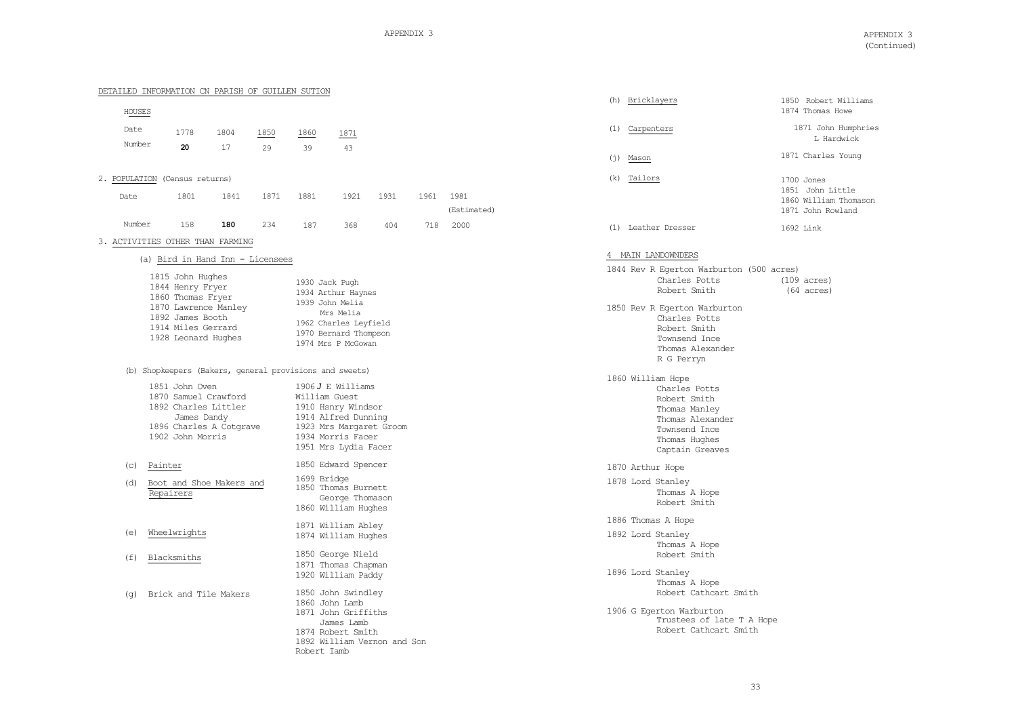1850 Robert Williams 1874 Thomas Howe

1700 Jones 1851 John Little 1860 William Thomason 1871 John Rowland

1692 Link

 $(109 \text{ acres})$  $(64 \text{ acres})$ 

1871 John Humphries L Hardwick 1871 Charles Young

|                | DETAILED INFORMATION CN PARISH OF GUILLEN SUTION                                                                                                                                                                                                                                                                                                                                                  |      |      |                                 |                                                                                                                                                                                                                           |      |      |                     |  |     |                                                                                                                                                                                                                                                                                                                                 |                      |
|----------------|---------------------------------------------------------------------------------------------------------------------------------------------------------------------------------------------------------------------------------------------------------------------------------------------------------------------------------------------------------------------------------------------------|------|------|---------------------------------|---------------------------------------------------------------------------------------------------------------------------------------------------------------------------------------------------------------------------|------|------|---------------------|--|-----|---------------------------------------------------------------------------------------------------------------------------------------------------------------------------------------------------------------------------------------------------------------------------------------------------------------------------------|----------------------|
| HOUSES         |                                                                                                                                                                                                                                                                                                                                                                                                   |      |      |                                 |                                                                                                                                                                                                                           |      |      |                     |  |     | (h) Bricklayers                                                                                                                                                                                                                                                                                                                 | 1850<br>1874         |
| Date<br>Number | 1778                                                                                                                                                                                                                                                                                                                                                                                              | 1804 | 1850 | 1860                            | 1871                                                                                                                                                                                                                      |      |      |                     |  |     | (1) Carpenters                                                                                                                                                                                                                                                                                                                  | 18                   |
|                | 20                                                                                                                                                                                                                                                                                                                                                                                                | 17   | 29   | 39                              | 43                                                                                                                                                                                                                        |      |      |                     |  | (i) | Mason                                                                                                                                                                                                                                                                                                                           | 1871                 |
|                | 2. POPULATION (Census returns)                                                                                                                                                                                                                                                                                                                                                                    |      |      |                                 |                                                                                                                                                                                                                           |      |      |                     |  |     | (k) Tailors                                                                                                                                                                                                                                                                                                                     | 1700                 |
| Date           | 1801                                                                                                                                                                                                                                                                                                                                                                                              | 1841 | 1871 | 1881                            | 1921                                                                                                                                                                                                                      | 1931 | 1961 | 1981<br>(Estimated) |  |     |                                                                                                                                                                                                                                                                                                                                 | 1851<br>1860<br>1871 |
| Number         | 158                                                                                                                                                                                                                                                                                                                                                                                               | 180  | 234  | 187                             | 368                                                                                                                                                                                                                       | 404  | 718  | 2000                |  |     | (1) Leather Dresser                                                                                                                                                                                                                                                                                                             | 1692                 |
|                | 3. ACTIVITIES OTHER THAN FARMING<br>(a) Bird in Hand Inn - Licensees<br>1815 John Hughes<br>1844 Henry Fryer<br>1860 Thomas Fryer<br>1870 Lawrence Manley<br>1892 James Booth<br>1914 Miles Gerrard<br>1928 Leonard Hughes<br>(b) Shopkeepers (Bakers, general provisions and sweets)<br>1851 John Oven<br>1870 Samuel Crawford<br>1892 Charles Littler<br>James Dandy<br>1896 Charles A Cotgrave |      |      | 1930 Jack Pugh<br>William Guest | 1934 Arthur Haynes<br>1939 John Melia<br>Mrs Melia<br>1962 Charles Leyfield<br>1970 Bernard Thompson<br>1974 Mrs P McGowan<br>1906 $J$ E Williams<br>1910 Hsnry Windsor<br>1914 Alfred Dunning<br>1923 Mrs Margaret Groom |      |      |                     |  |     | 4 MAIN LANDOWNDERS<br>1844 Rev R Egerton Warburton (500 acres)<br>Charles Potts<br>Robert Smith<br>1850 Rev R Egerton Warburton<br>Charles Potts<br>Robert Smith<br>Townsend Ince<br>Thomas Alexander<br>R G Perryn<br>1860 William Hope<br>Charles Potts<br>Robert Smith<br>Thomas Manley<br>Thomas Alexander<br>Townsend Ince | (109)<br>(64         |
| (C)<br>(d)     | 1902 John Morris<br>Painter<br>Boot and Shoe Makers and<br>Repairers                                                                                                                                                                                                                                                                                                                              |      |      | 1699 Bridge                     | 1934 Morris Facer<br>1951 Mrs Lydia Facer<br>1850 Edward Spencer<br>1850 Thomas Burnett<br>George Thomason<br>1860 William Hughes                                                                                         |      |      |                     |  |     | Thomas Hughes<br>Captain Greaves<br>1870 Arthur Hope<br>1878 Lord Stanley<br>Thomas A Hope<br>Robert Smith                                                                                                                                                                                                                      |                      |
| (e)<br>(f)     | Wheelwrights<br>Blacksmiths                                                                                                                                                                                                                                                                                                                                                                       |      |      |                                 | 1871 William Abley<br>1874 William Hughes<br>1850 George Nield                                                                                                                                                            |      |      |                     |  |     | 1886 Thomas A Hope<br>1892 Lord Stanley<br>Thomas A Hope<br>Robert Smith                                                                                                                                                                                                                                                        |                      |
| (q)            | Brick and Tile Makers                                                                                                                                                                                                                                                                                                                                                                             |      |      | Robert Iamb                     | 1871 Thomas Chapman<br>1920 William Paddy<br>1850 John Swindley<br>1860 John Lamb<br>1871 John Griffiths<br>James Lamb<br>1874 Robert Smith<br>1892 William Vernon and Son                                                |      |      |                     |  |     | 1896 Lord Stanley<br>Thomas A Hope<br>Robert Cathcart Smith<br>1906 G Egerton Warburton<br>Trustees of late T A Hope<br>Robert Cathcart Smith                                                                                                                                                                                   |                      |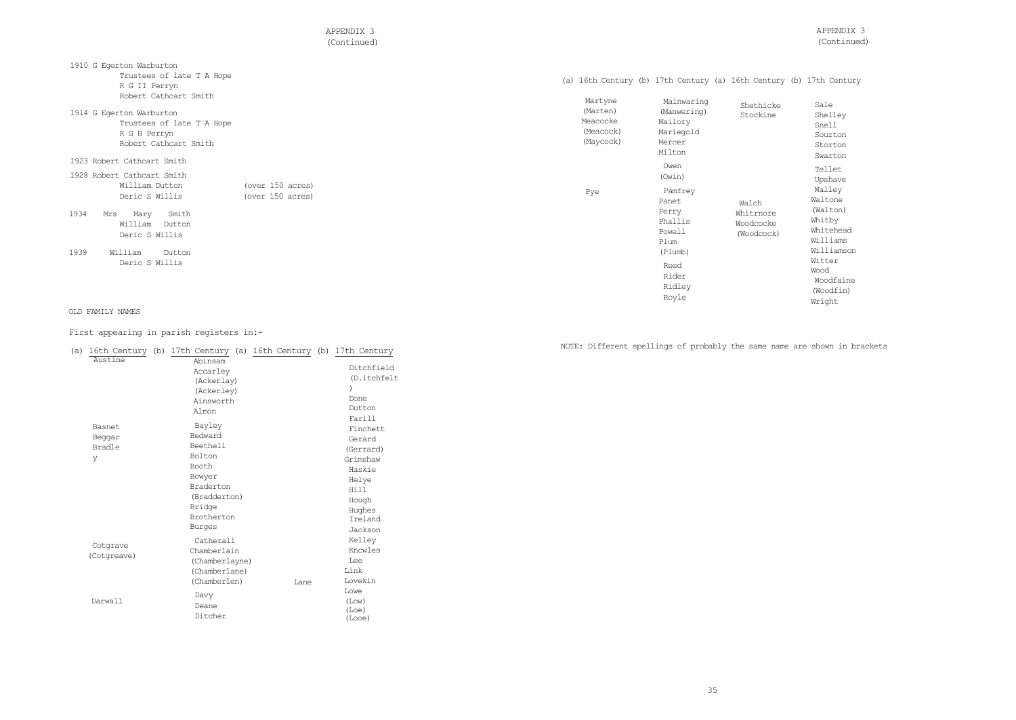APPENDIX 3 (Continued)

|  |  | (a) 16th Century (b) 17th Century (a) 16th Century (b) 17th Century |  |  |  |  |  |  |  |  |  |
|--|--|---------------------------------------------------------------------|--|--|--|--|--|--|--|--|--|
|--|--|---------------------------------------------------------------------|--|--|--|--|--|--|--|--|--|

| Trustees of late T A Hope<br>R G II Perryn                                                                                                        |                                      | (a) 16th Century (b) 17th Century (a) 16th Century (b) 17th Centur |                                                                       |                                 |                                                                                           |
|---------------------------------------------------------------------------------------------------------------------------------------------------|--------------------------------------|--------------------------------------------------------------------|-----------------------------------------------------------------------|---------------------------------|-------------------------------------------------------------------------------------------|
| Robert Cathcart Smith<br>1914 G Egerton Warburton<br>Trustees of late T A Hope<br>R G H Perryn<br>Robert Cathcart Smith                           |                                      | Martyne<br>(Marten)<br>Meacocke<br>(Meacock)<br>(Maycock)          | Mainwaring<br>(Manwering)<br>Mailory<br>Mariegold<br>Mercer<br>Milton | Shethicke<br>Stockine           | Sale<br>Shelley<br>Snell<br>Sourton<br>Storton<br>Swarton                                 |
| 1923 Robert Cathcart Smith<br>1928 Robert Cathcart Smith<br>William Dutton<br>Deric S Willis<br>1934<br>Smith<br>Mary<br>Mrs<br>William<br>Dutton | (over 150 acres)<br>(over 150 acres) | Pye                                                                | Owen<br>(Owin)<br>Pamfrey<br>Panet<br>Perry<br>Phallis                | Walch<br>Whitrnore<br>Woodcocke | Tellet<br>Upshave<br>Walley<br>Waltone<br>(Walton)<br>Whitby                              |
| Deric S Willis<br>1939<br>William<br>Dutton<br>Deric S Willis                                                                                     |                                      |                                                                    | Powell<br>Plum<br>(Plumb)<br>Reed<br>Rider<br>Ridley<br>Royle         | (Woodcock)                      | Whitehead<br>Williams<br>Williamson<br>Witter<br>Wood<br>Woodfaine<br>(Woodfin)<br>Wright |

# OLD FAMILY NAMES

1910 G Egerton Warburton

# First appearing in parish registers in:-

|                                            |                                                                                                                                                                                                            |      |                                                                                                                         |  | NOTE: Different spellings of probably the same name are shown in brackets |  |
|--------------------------------------------|------------------------------------------------------------------------------------------------------------------------------------------------------------------------------------------------------------|------|-------------------------------------------------------------------------------------------------------------------------|--|---------------------------------------------------------------------------|--|
| Austine<br>Basnet<br>Beggar<br>Bradle<br>У | (a) 16th Century (b) 17th Century (a) 16th Century (b) 17th Century<br>Abinsam<br>Accarley<br>(Ackerlay)<br>(Ackerley)<br>Ainsworth<br>Almon<br>Bayley<br>Bedward<br>Beethell<br>Bolton<br>Booth<br>Bowyer |      | Ditchfield<br>(D.itchfelt<br>Done<br>Dutton<br>Farill<br>Finchett<br>Gerard<br>(Gerrard)<br>Grimshaw<br>Haskie<br>Helye |  |                                                                           |  |
|                                            | Braderton<br>(Bradderton)<br>Bridge<br>Brotherton<br>Burges                                                                                                                                                |      | Hill<br>Hough<br>Hughes<br>Ireland<br>Jackson                                                                           |  |                                                                           |  |
| Cotgrave<br>(Cotgreave)                    | Catherall<br>Chamberlain<br>(Chamberlayne)<br>(Chamberlane)<br>(Chamberlen)                                                                                                                                | Lane | Kelley<br>Kncwles<br>Lee<br>Link<br>Lovekin                                                                             |  |                                                                           |  |
| Darwall                                    | Davy<br>Deane<br>Ditcher                                                                                                                                                                                   |      | Lowe<br>(Low)<br>(Loe)<br>(Looe)                                                                                        |  |                                                                           |  |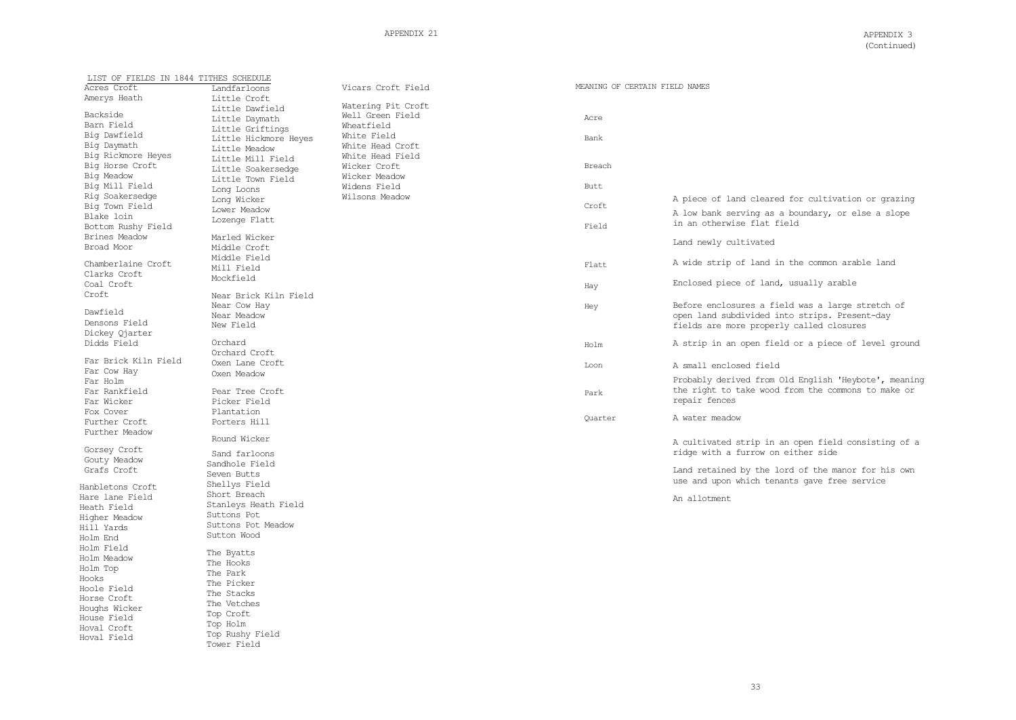| LIST OF FIELDS IN 1844 TITHES SCHEDULE |                       |                    |                                |                                                      |
|----------------------------------------|-----------------------|--------------------|--------------------------------|------------------------------------------------------|
| Acres Croft                            | Landfarloons          | Vicars Croft Field | MEANING OF CERTAIN FIELD NAMES |                                                      |
| Amerys Heath                           | Little Croft          |                    |                                |                                                      |
|                                        | Little Dawfield       | Watering Pit Croft |                                |                                                      |
| Backside                               | Little Daymath        | Well Green Field   | Acre                           |                                                      |
| Barn Field                             | Little Griftings      | Wheatfield         |                                |                                                      |
| Big Dawfield                           |                       | White Field        | Bank                           |                                                      |
| Big Daymath                            | Little Hickmore Heves | White Head Croft   |                                |                                                      |
| Big Rickmore Heyes                     | Little Meadow         |                    |                                |                                                      |
|                                        | Little Mill Field     | White Head Field   |                                |                                                      |
| Big Horse Croft                        | Little Soakersedge    | Wicker Croft       | Breach                         |                                                      |
| Big Meadow                             | Little Town Field     | Wicker Meadow      |                                |                                                      |
| Big Mill Field                         | Long Loons            | Widens Field       | Butt                           |                                                      |
| Rig Soakersedge                        | Long Wicker           | Wilsons Meadow     |                                | A piece of land cleared for cultivation or grazing   |
| Big Town Field                         |                       |                    | Croft                          |                                                      |
| Blake loin                             | Lower Meadow          |                    |                                | A low bank serving as a boundary, or else a slope    |
| Bottom Rushy Field                     | Lozenge Flatt         |                    | Field                          | in an otherwise flat field                           |
| Brines Meadow                          | Marled Wicker         |                    |                                |                                                      |
| Broad Moor                             |                       |                    |                                | Land newly cultivated                                |
|                                        | Middle Croft          |                    |                                |                                                      |
| Chamberlaine Croft                     | Middle Field          |                    |                                | A wide strip of land in the common arable land       |
|                                        | Mill Field            |                    | Flatt                          |                                                      |
| Clarks Croft                           | Mockfield             |                    |                                |                                                      |
| Coal Croft                             |                       |                    | Hay                            | Enclosed piece of land, usually arable               |
| Croft                                  | Near Brick Kiln Field |                    |                                |                                                      |
|                                        | Near Cow Hay          |                    | Hey                            | Before enclosures a field was a large stretch of     |
| Dawfield                               | Near Meadow           |                    |                                | open land subdivided into strips. Present-day        |
| Densons Field                          | New Field             |                    |                                | fields are more properly called closures             |
| Dickey Qjarter                         |                       |                    |                                |                                                      |
| Didds Field                            | Orchard               |                    | Holm                           | A strip in an open field or a piece of level ground  |
|                                        | Orchard Croft         |                    |                                |                                                      |
| Far Brick Kiln Field                   | Oxen Lane Croft       |                    |                                |                                                      |
| Far Cow Hay                            |                       |                    | Loon                           | A small enclosed field                               |
| Far Holm                               | Oxen Meadow           |                    |                                | Probably derived from Old English 'Heybote', meaning |
|                                        |                       |                    |                                | the right to take wood from the commons to make or   |
| Far Rankfield                          | Pear Tree Croft       |                    | Park                           |                                                      |
| Far Wicker                             | Picker Field          |                    |                                | repair fences                                        |
| Fox Cover                              | Plantation            |                    |                                | A water meadow                                       |
| Further Croft                          | Porters Hill          |                    | Ouarter                        |                                                      |
| Further Meadow                         |                       |                    |                                |                                                      |
|                                        | Round Wicker          |                    |                                | A cultivated strip in an open field consisting of a  |
| Gorsey Croft                           | Sand farloons         |                    |                                | ridge with a furrow on either side                   |
| Gouty Meadow                           |                       |                    |                                |                                                      |
| Grafs Croft                            | Sandhole Field        |                    |                                | Land retained by the lord of the manor for his own   |
|                                        | Seven Butts           |                    |                                | use and upon which tenants gave free service         |
| Hanbletons Croft                       | Shellys Field         |                    |                                |                                                      |
| Hare lane Field                        | Short Breach          |                    |                                | An allotment                                         |
| Heath Field                            | Stanleys Heath Field  |                    |                                |                                                      |
| Higher Meadow                          | Suttons Pot           |                    |                                |                                                      |
|                                        | Suttons Pot Meadow    |                    |                                |                                                      |
| Hill Yards                             | Sutton Wood           |                    |                                |                                                      |
| Holm End                               |                       |                    |                                |                                                      |
| Holm Field                             | The Byatts            |                    |                                |                                                      |
| Holm Meadow                            | The Hooks             |                    |                                |                                                      |
| Holm Top                               |                       |                    |                                |                                                      |
| Hooks                                  | The Park              |                    |                                |                                                      |
| Hoole Field                            | The Picker            |                    |                                |                                                      |
| Horse Croft                            | The Stacks            |                    |                                |                                                      |
|                                        | The Vetches           |                    |                                |                                                      |
| Houghs Wicker                          | Top Croft             |                    |                                |                                                      |
| House Field                            | Top Holm              |                    |                                |                                                      |
| Hoval Croft                            | Top Rushy Field       |                    |                                |                                                      |
| Hoval Field                            | Tower Field           |                    |                                |                                                      |
|                                        |                       |                    |                                |                                                      |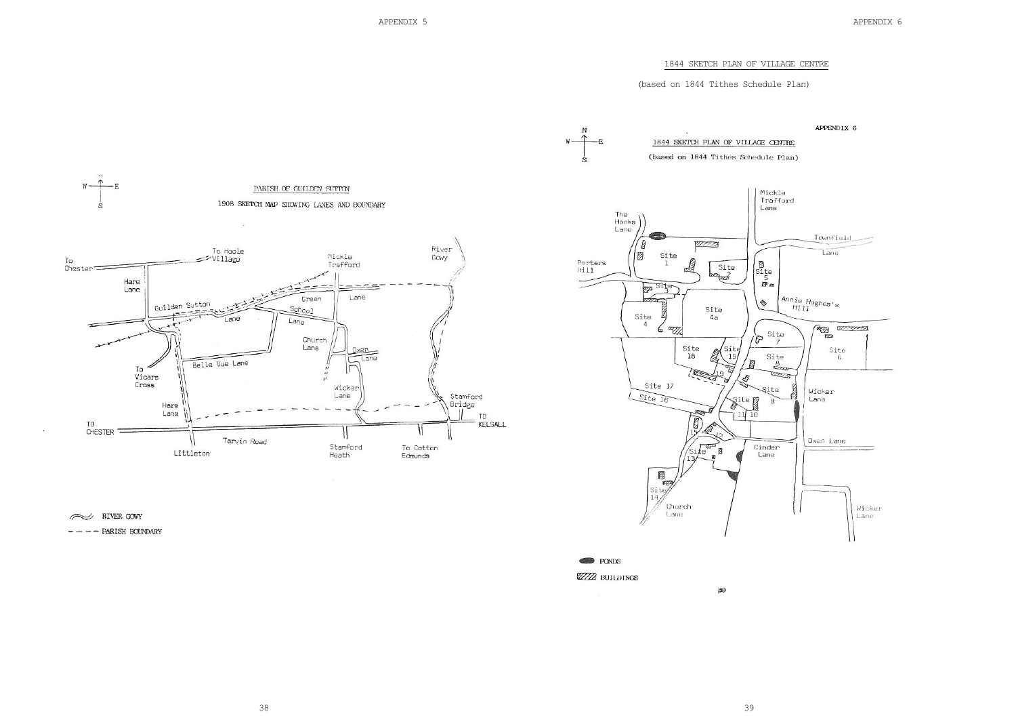APPENDIX 6

# 1844 SKETCH PLAN OF VILLAGE CENTRE

# (based on 1844 Tithes Schedule Plan)

1844 SKETCH PLAN OF VILLAGE CENTRE



RIVER GOWY

 $-- ---$  PARISH BOUNDARY





59